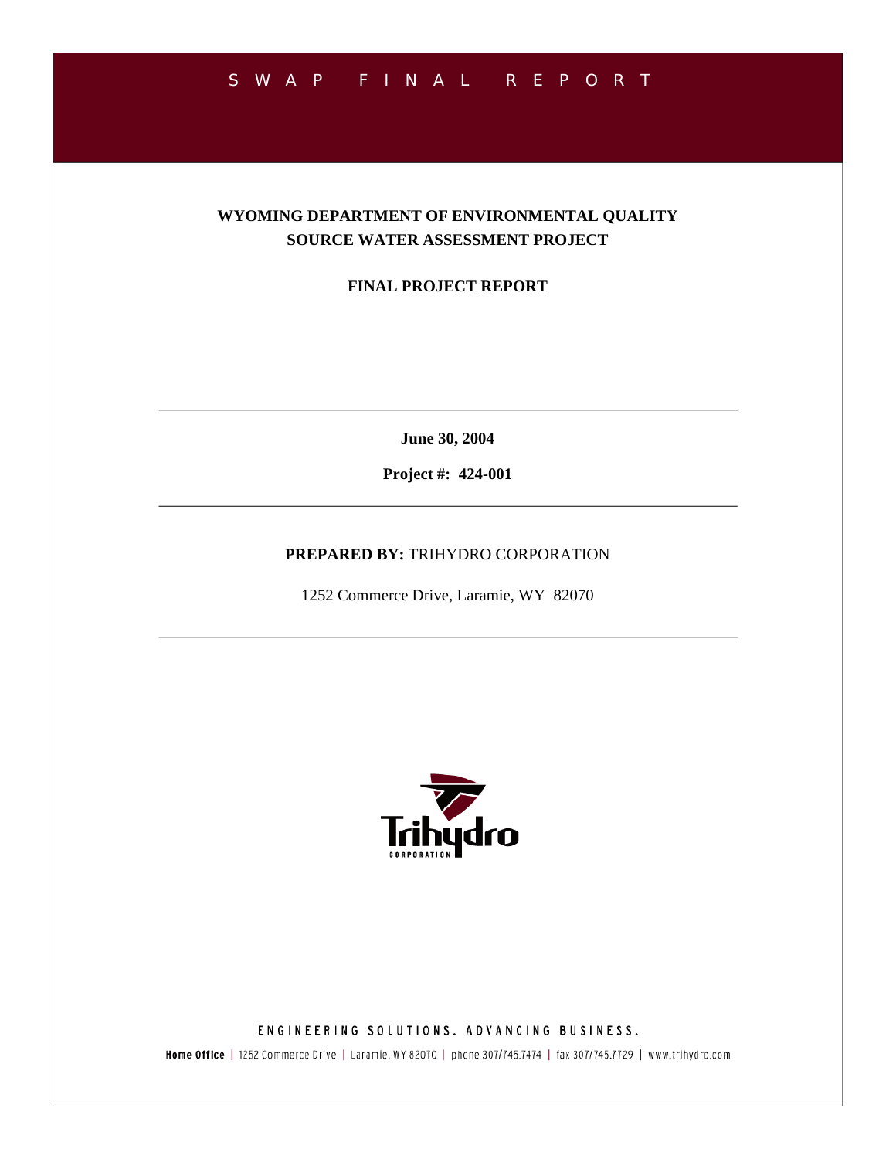## SWAP FINAL REPORT

### **WYOMING DEPARTMENT OF ENVIRONMENTAL QUALITY SOURCE WATER ASSESSMENT PROJECT**

**FINAL PROJECT REPORT** 

**June 30, 2004** 

**Project #: 424-001** 

#### **PREPARED BY:** TRIHYDRO CORPORATION

1252 Commerce Drive, Laramie, WY 82070



ENGINEERING SOLUTIONS. ADVANCING BUSINESS.

Home Office | 1252 Commerce Drive | Laramie, WY 82070 | phone 307/745.7474 | fax 307/745.7729 | www.trihydro.com

 $\frac{\partial\Gamma}{\partial\Gamma}=\frac{\partial\Gamma}{\partial\Gamma}=\frac{\partial\Gamma}{\partial\Gamma}=\frac{\partial\Gamma}{\partial\Gamma}=\frac{\partial\Gamma}{\partial\Gamma}=\frac{\partial\Gamma}{\partial\Gamma}=\frac{\partial\Gamma}{\partial\Gamma}=\frac{\partial\Gamma}{\partial\Gamma}=\frac{\partial\Gamma}{\partial\Gamma}=\frac{\partial\Gamma}{\partial\Gamma}=\frac{\partial\Gamma}{\partial\Gamma}=\frac{\partial\Gamma}{\partial\Gamma}=\frac{\partial\Gamma}{\partial\Gamma}=\frac{\partial\Gamma}{\partial\Gamma}=\frac{\partial\Gamma}{\partial\Gamma}=\frac{\partial\Gamma}{\partial\Gamma}=\frac{\partial\Gamma}{\partial\Gamma}=\frac{\partial\Gamma}{\partial\Gamma}=\frac{\partial$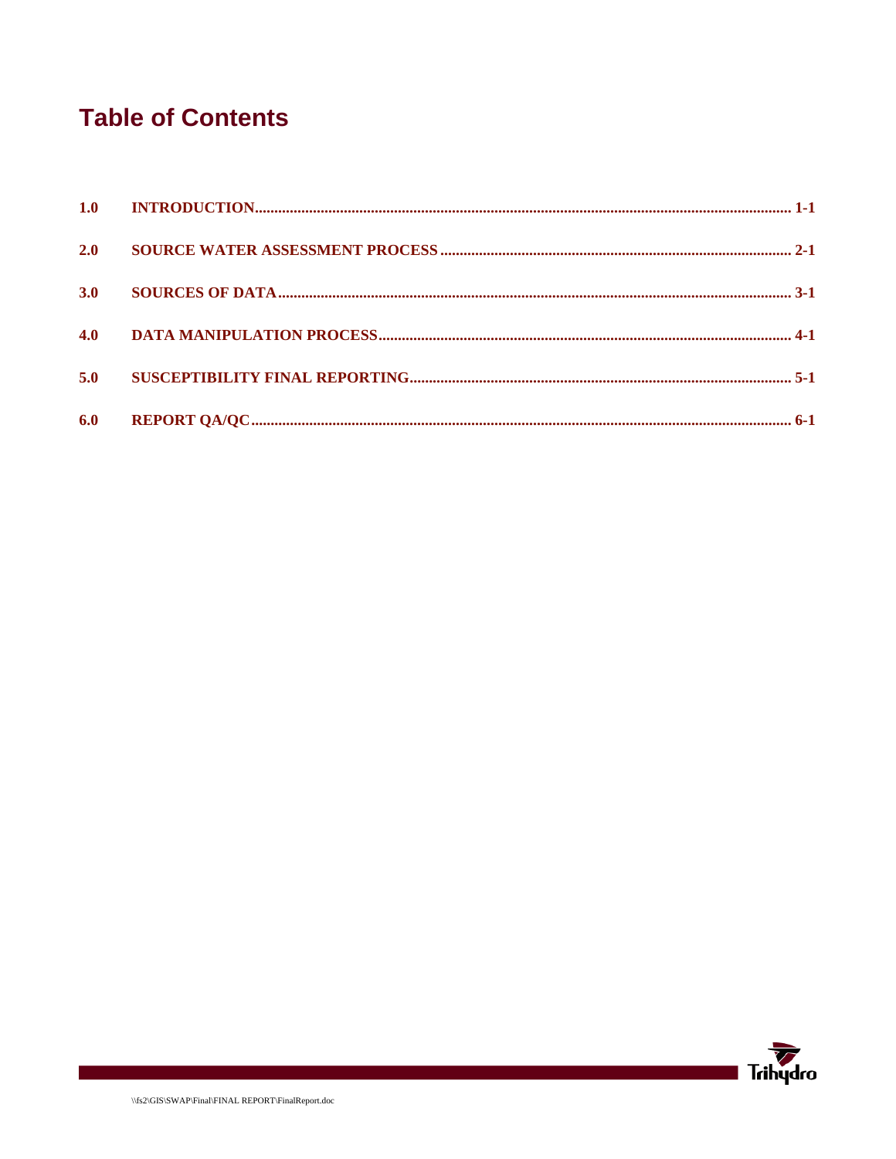## **Table of Contents**

| 2.0 |  |
|-----|--|
| 3.0 |  |
|     |  |
| 5.0 |  |
| 6.0 |  |

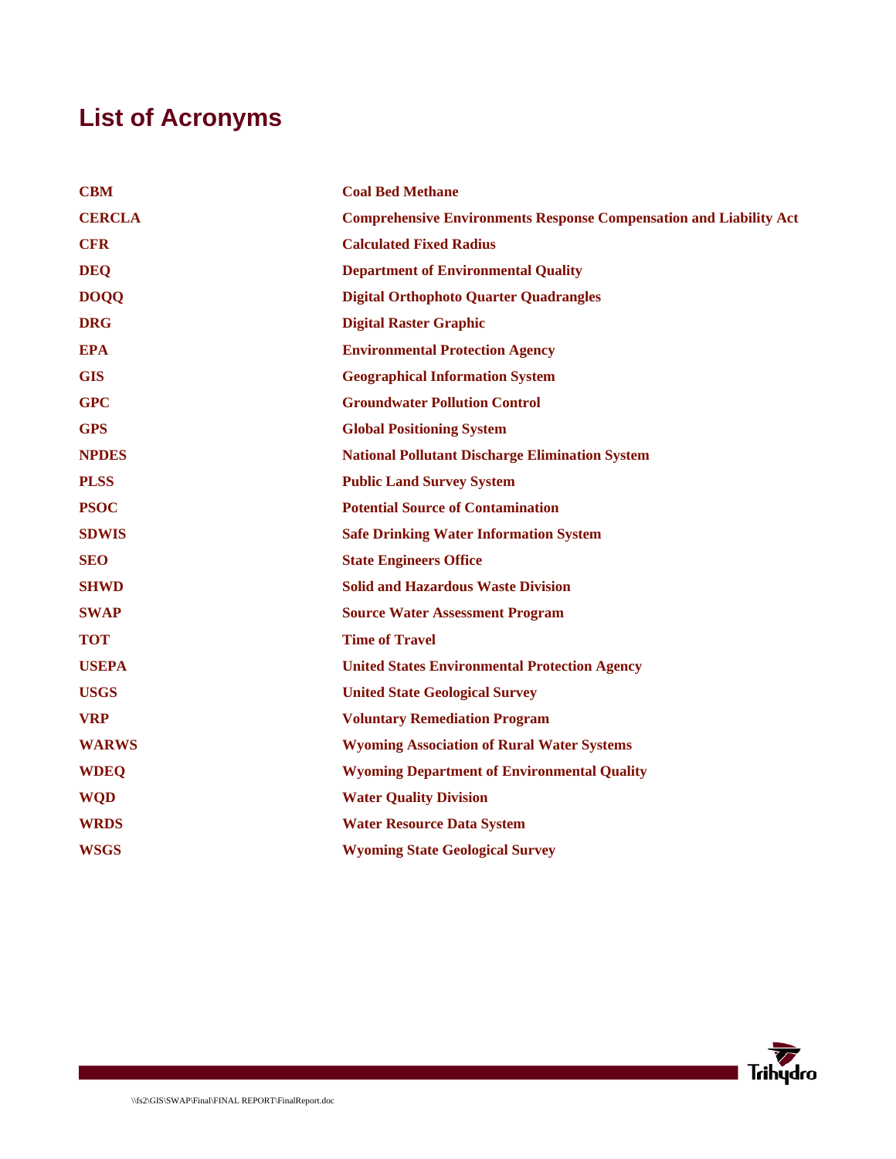# **List of Acronyms**

| <b>CBM</b>    | <b>Coal Bed Methane</b>                                                   |
|---------------|---------------------------------------------------------------------------|
| <b>CERCLA</b> | <b>Comprehensive Environments Response Compensation and Liability Act</b> |
| <b>CFR</b>    | <b>Calculated Fixed Radius</b>                                            |
| <b>DEQ</b>    | <b>Department of Environmental Quality</b>                                |
| <b>DOQQ</b>   | <b>Digital Orthophoto Quarter Quadrangles</b>                             |
| <b>DRG</b>    | <b>Digital Raster Graphic</b>                                             |
| <b>EPA</b>    | <b>Environmental Protection Agency</b>                                    |
| <b>GIS</b>    | <b>Geographical Information System</b>                                    |
| <b>GPC</b>    | <b>Groundwater Pollution Control</b>                                      |
| <b>GPS</b>    | <b>Global Positioning System</b>                                          |
| <b>NPDES</b>  | <b>National Pollutant Discharge Elimination System</b>                    |
| <b>PLSS</b>   | <b>Public Land Survey System</b>                                          |
| <b>PSOC</b>   | <b>Potential Source of Contamination</b>                                  |
| <b>SDWIS</b>  | <b>Safe Drinking Water Information System</b>                             |
| <b>SEO</b>    | <b>State Engineers Office</b>                                             |
| <b>SHWD</b>   | <b>Solid and Hazardous Waste Division</b>                                 |
| <b>SWAP</b>   | <b>Source Water Assessment Program</b>                                    |
| <b>TOT</b>    | <b>Time of Travel</b>                                                     |
| <b>USEPA</b>  | <b>United States Environmental Protection Agency</b>                      |
| <b>USGS</b>   | <b>United State Geological Survey</b>                                     |
| <b>VRP</b>    | <b>Voluntary Remediation Program</b>                                      |
| <b>WARWS</b>  | <b>Wyoming Association of Rural Water Systems</b>                         |
| <b>WDEQ</b>   | <b>Wyoming Department of Environmental Quality</b>                        |
| <b>WQD</b>    | <b>Water Quality Division</b>                                             |
| <b>WRDS</b>   | <b>Water Resource Data System</b>                                         |
| <b>WSGS</b>   | <b>Wyoming State Geological Survey</b>                                    |

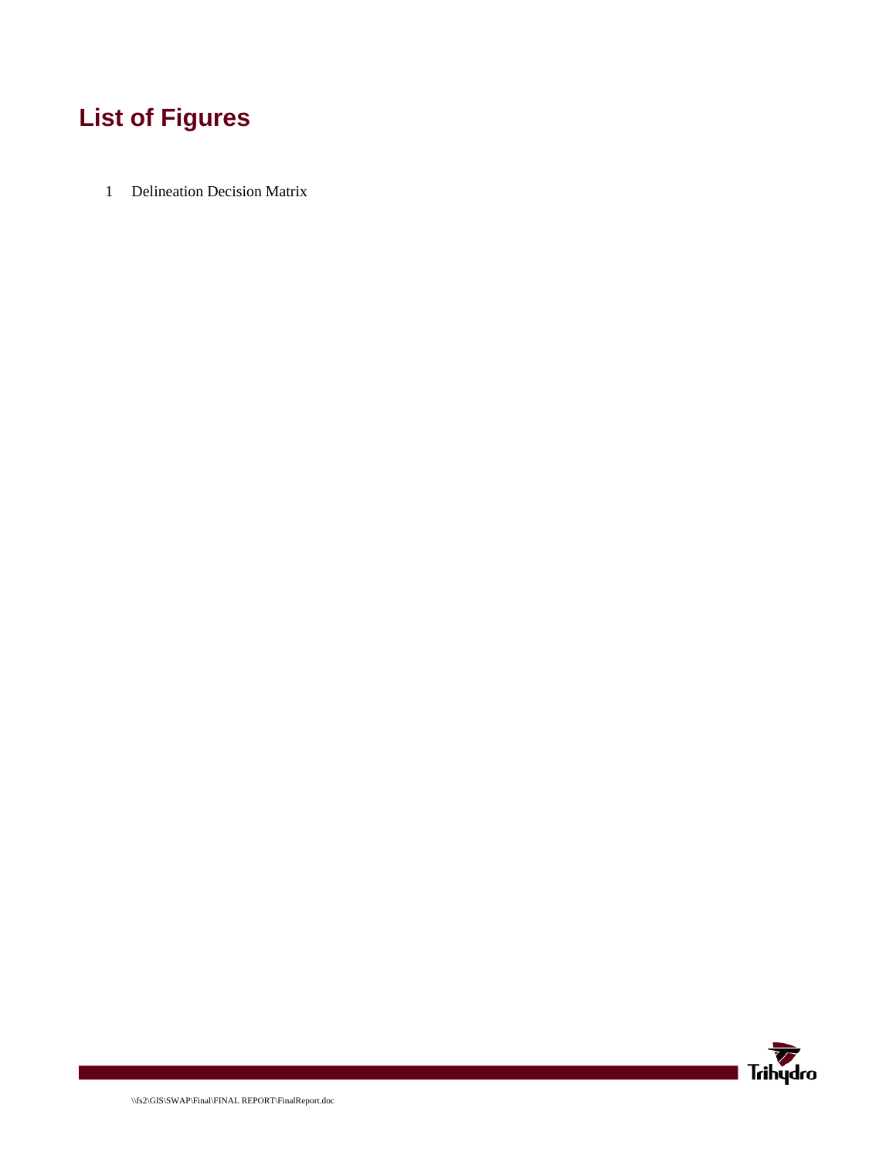# **List of Figures**

1 Delineation Decision Matrix

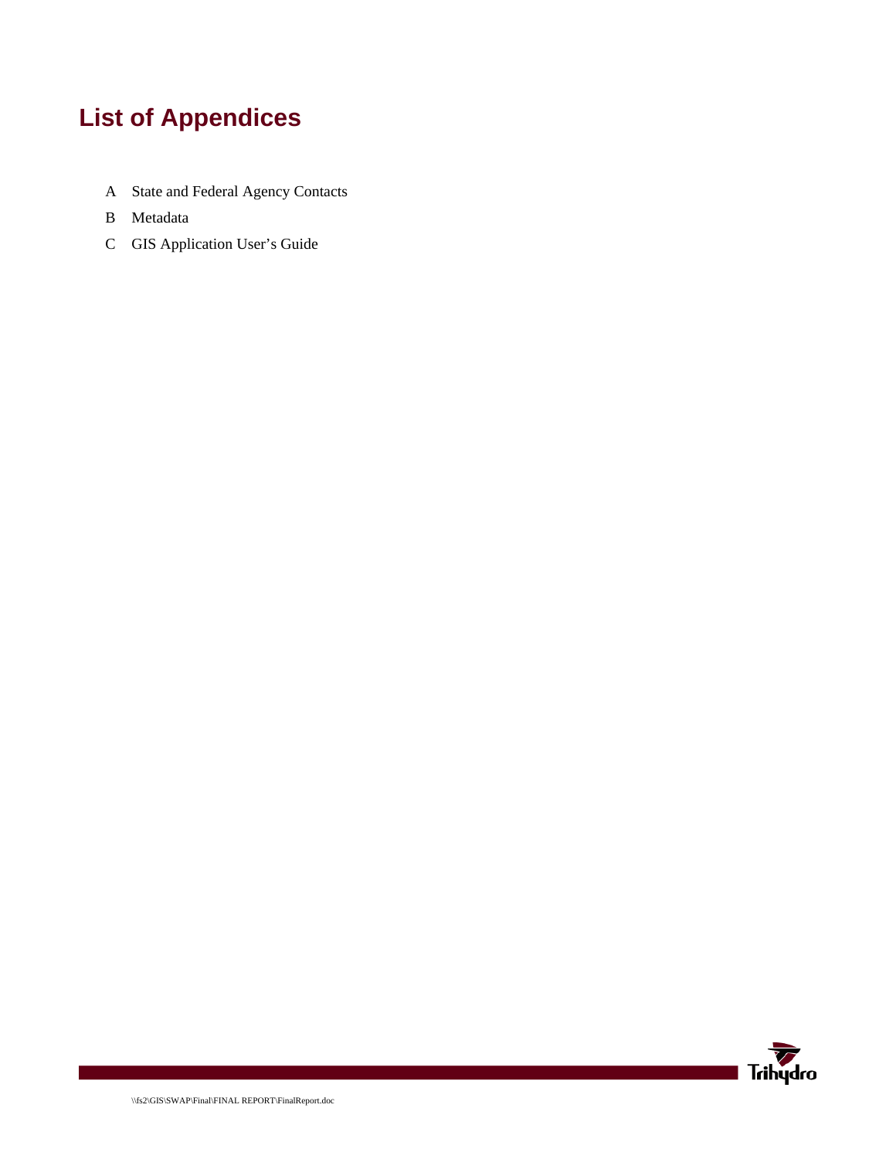# **List of Appendices**

- A State and Federal Agency Contacts
- B Metadata
- C GIS Application User's Guide

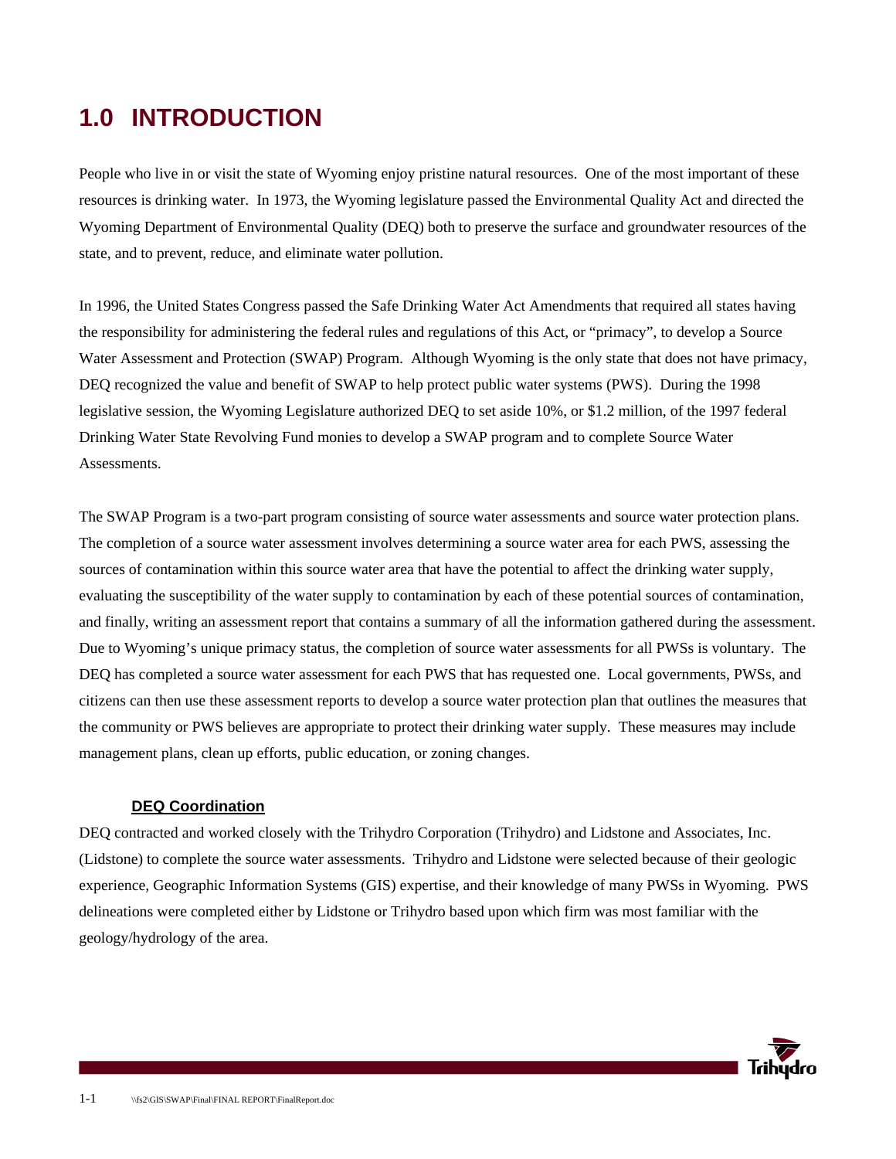## **1.0 INTRODUCTION**

People who live in or visit the state of Wyoming enjoy pristine natural resources. One of the most important of these resources is drinking water. In 1973, the Wyoming legislature passed the Environmental Quality Act and directed the Wyoming Department of Environmental Quality (DEQ) both to preserve the surface and groundwater resources of the state, and to prevent, reduce, and eliminate water pollution.

In 1996, the United States Congress passed the Safe Drinking Water Act Amendments that required all states having the responsibility for administering the federal rules and regulations of this Act, or "primacy", to develop a Source Water Assessment and Protection (SWAP) Program. Although Wyoming is the only state that does not have primacy, DEQ recognized the value and benefit of SWAP to help protect public water systems (PWS). During the 1998 legislative session, the Wyoming Legislature authorized DEQ to set aside 10%, or \$1.2 million, of the 1997 federal Drinking Water State Revolving Fund monies to develop a SWAP program and to complete Source Water Assessments.

The SWAP Program is a two-part program consisting of source water assessments and source water protection plans. The completion of a source water assessment involves determining a source water area for each PWS, assessing the sources of contamination within this source water area that have the potential to affect the drinking water supply, evaluating the susceptibility of the water supply to contamination by each of these potential sources of contamination, and finally, writing an assessment report that contains a summary of all the information gathered during the assessment. Due to Wyoming's unique primacy status, the completion of source water assessments for all PWSs is voluntary. The DEQ has completed a source water assessment for each PWS that has requested one. Local governments, PWSs, and citizens can then use these assessment reports to develop a source water protection plan that outlines the measures that the community or PWS believes are appropriate to protect their drinking water supply. These measures may include management plans, clean up efforts, public education, or zoning changes.

#### **DEQ Coordination**

DEQ contracted and worked closely with the Trihydro Corporation (Trihydro) and Lidstone and Associates, Inc. (Lidstone) to complete the source water assessments. Trihydro and Lidstone were selected because of their geologic experience, Geographic Information Systems (GIS) expertise, and their knowledge of many PWSs in Wyoming. PWS delineations were completed either by Lidstone or Trihydro based upon which firm was most familiar with the geology/hydrology of the area.

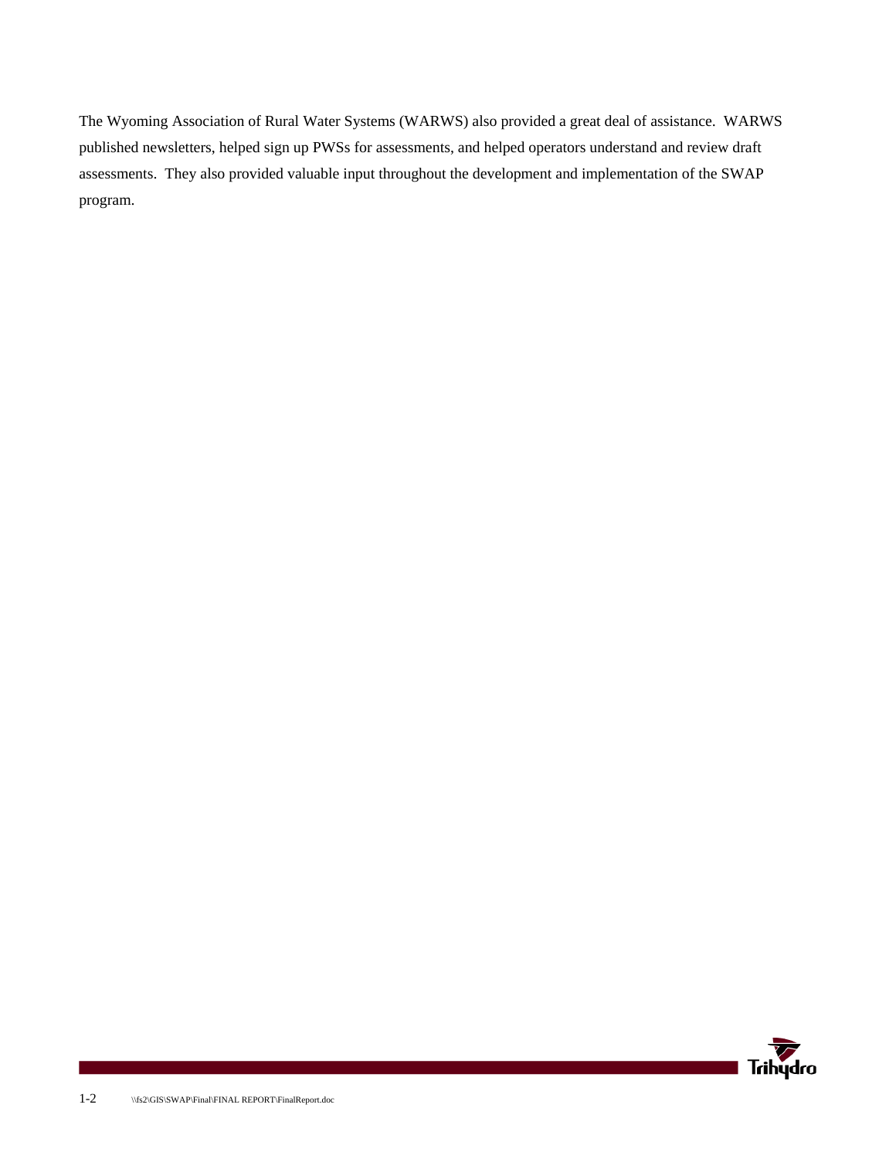The Wyoming Association of Rural Water Systems (WARWS) also provided a great deal of assistance. WARWS published newsletters, helped sign up PWSs for assessments, and helped operators understand and review draft assessments. They also provided valuable input throughout the development and implementation of the SWAP program.

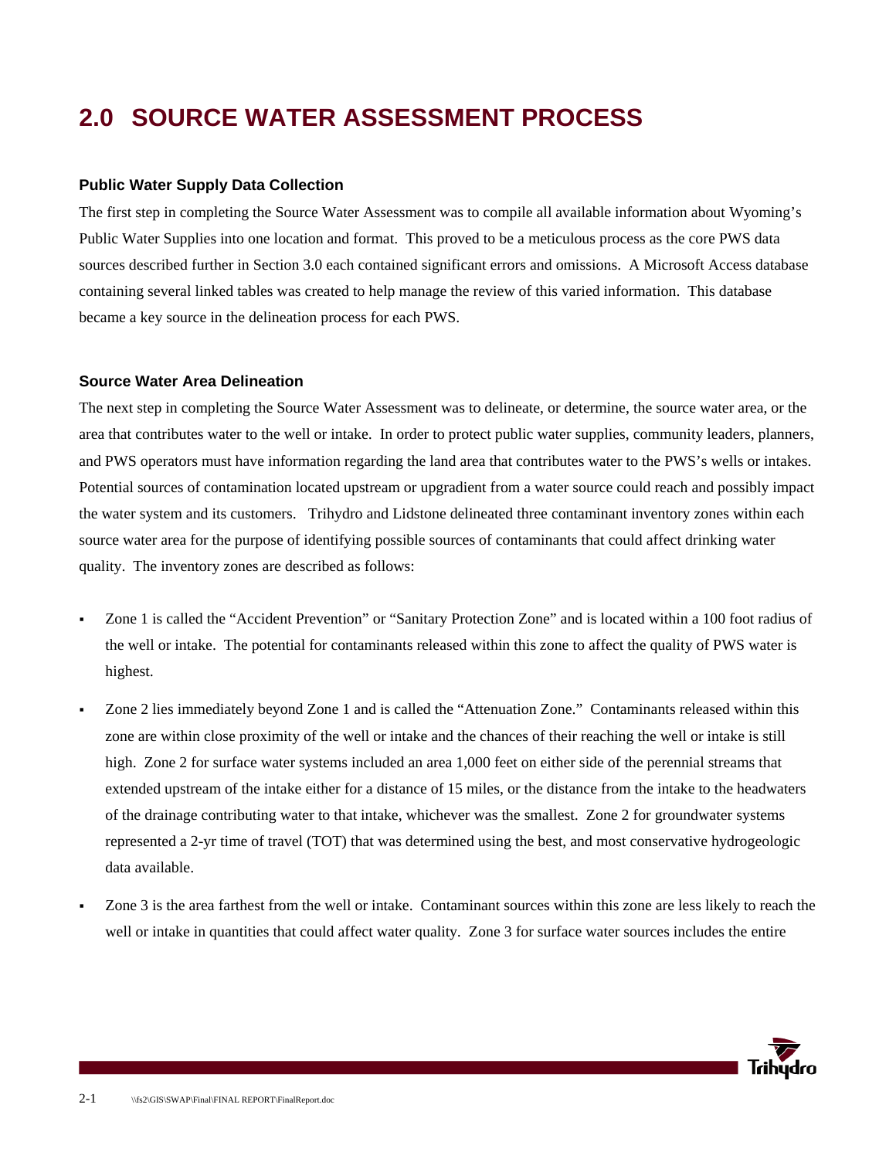## **2.0 SOURCE WATER ASSESSMENT PROCESS**

#### **Public Water Supply Data Collection**

The first step in completing the Source Water Assessment was to compile all available information about Wyoming's Public Water Supplies into one location and format. This proved to be a meticulous process as the core PWS data sources described further in Section 3.0 each contained significant errors and omissions. A Microsoft Access database containing several linked tables was created to help manage the review of this varied information. This database became a key source in the delineation process for each PWS.

#### **Source Water Area Delineation**

The next step in completing the Source Water Assessment was to delineate, or determine, the source water area, or the area that contributes water to the well or intake. In order to protect public water supplies, community leaders, planners, and PWS operators must have information regarding the land area that contributes water to the PWS's wells or intakes. Potential sources of contamination located upstream or upgradient from a water source could reach and possibly impact the water system and its customers. Trihydro and Lidstone delineated three contaminant inventory zones within each source water area for the purpose of identifying possible sources of contaminants that could affect drinking water quality. The inventory zones are described as follows:

- Zone 1 is called the "Accident Prevention" or "Sanitary Protection Zone" and is located within a 100 foot radius of the well or intake. The potential for contaminants released within this zone to affect the quality of PWS water is highest.
- Zone 2 lies immediately beyond Zone 1 and is called the "Attenuation Zone." Contaminants released within this zone are within close proximity of the well or intake and the chances of their reaching the well or intake is still high. Zone 2 for surface water systems included an area 1,000 feet on either side of the perennial streams that extended upstream of the intake either for a distance of 15 miles, or the distance from the intake to the headwaters of the drainage contributing water to that intake, whichever was the smallest. Zone 2 for groundwater systems represented a 2-yr time of travel (TOT) that was determined using the best, and most conservative hydrogeologic data available.
- Zone 3 is the area farthest from the well or intake. Contaminant sources within this zone are less likely to reach the well or intake in quantities that could affect water quality. Zone 3 for surface water sources includes the entire

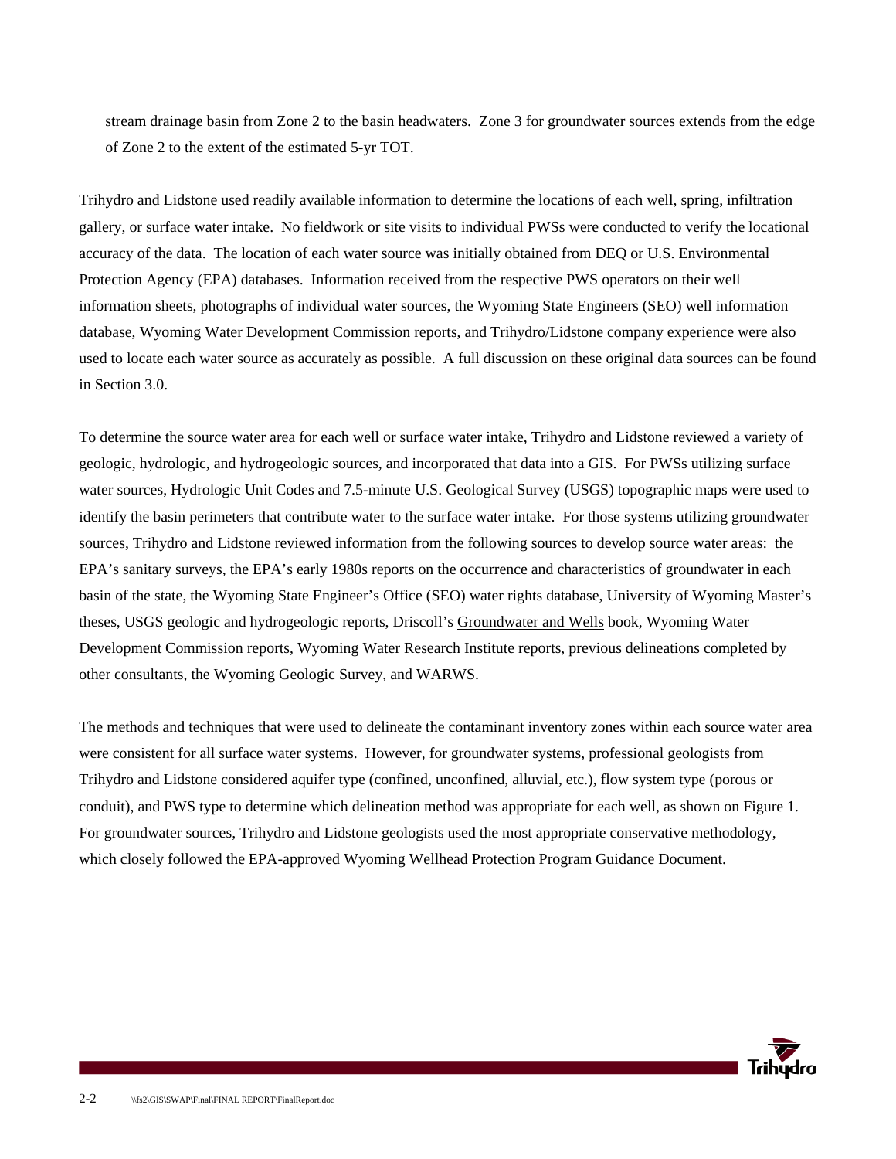stream drainage basin from Zone 2 to the basin headwaters. Zone 3 for groundwater sources extends from the edge of Zone 2 to the extent of the estimated 5-yr TOT.

Trihydro and Lidstone used readily available information to determine the locations of each well, spring, infiltration gallery, or surface water intake. No fieldwork or site visits to individual PWSs were conducted to verify the locational accuracy of the data. The location of each water source was initially obtained from DEQ or U.S. Environmental Protection Agency (EPA) databases. Information received from the respective PWS operators on their well information sheets, photographs of individual water sources, the Wyoming State Engineers (SEO) well information database, Wyoming Water Development Commission reports, and Trihydro/Lidstone company experience were also used to locate each water source as accurately as possible. A full discussion on these original data sources can be found in Section 3.0.

To determine the source water area for each well or surface water intake, Trihydro and Lidstone reviewed a variety of geologic, hydrologic, and hydrogeologic sources, and incorporated that data into a GIS. For PWSs utilizing surface water sources, Hydrologic Unit Codes and 7.5-minute U.S. Geological Survey (USGS) topographic maps were used to identify the basin perimeters that contribute water to the surface water intake. For those systems utilizing groundwater sources, Trihydro and Lidstone reviewed information from the following sources to develop source water areas: the EPA's sanitary surveys, the EPA's early 1980s reports on the occurrence and characteristics of groundwater in each basin of the state, the Wyoming State Engineer's Office (SEO) water rights database, University of Wyoming Master's theses, USGS geologic and hydrogeologic reports, Driscoll's Groundwater and Wells book, Wyoming Water Development Commission reports, Wyoming Water Research Institute reports, previous delineations completed by other consultants, the Wyoming Geologic Survey, and WARWS.

The methods and techniques that were used to delineate the contaminant inventory zones within each source water area were consistent for all surface water systems. However, for groundwater systems, professional geologists from Trihydro and Lidstone considered aquifer type (confined, unconfined, alluvial, etc.), flow system type (porous or conduit), and PWS type to determine which delineation method was appropriate for each well, as shown on Figure 1. For groundwater sources, Trihydro and Lidstone geologists used the most appropriate conservative methodology, which closely followed the EPA-approved Wyoming Wellhead Protection Program Guidance Document.

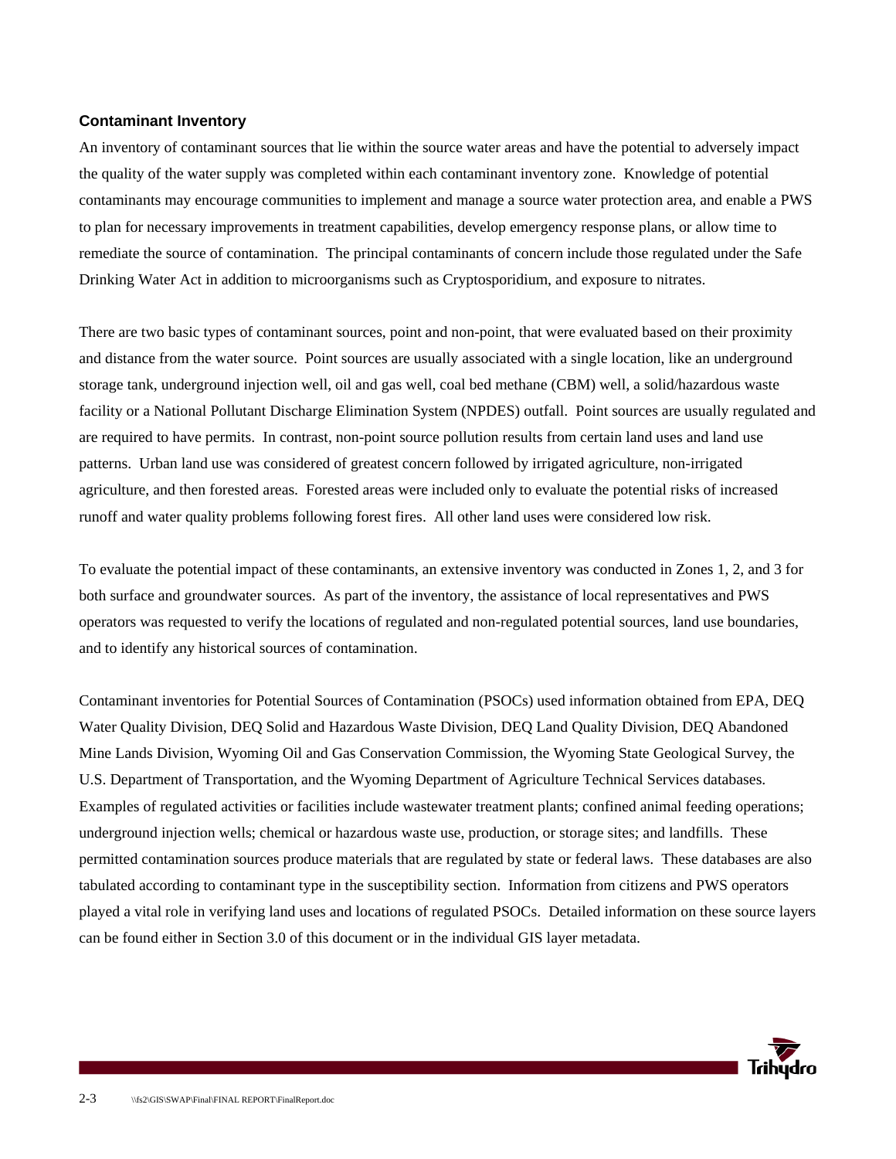#### **Contaminant Inventory**

An inventory of contaminant sources that lie within the source water areas and have the potential to adversely impact the quality of the water supply was completed within each contaminant inventory zone. Knowledge of potential contaminants may encourage communities to implement and manage a source water protection area, and enable a PWS to plan for necessary improvements in treatment capabilities, develop emergency response plans, or allow time to remediate the source of contamination. The principal contaminants of concern include those regulated under the Safe Drinking Water Act in addition to microorganisms such as Cryptosporidium, and exposure to nitrates.

There are two basic types of contaminant sources, point and non-point, that were evaluated based on their proximity and distance from the water source. Point sources are usually associated with a single location, like an underground storage tank, underground injection well, oil and gas well, coal bed methane (CBM) well, a solid/hazardous waste facility or a National Pollutant Discharge Elimination System (NPDES) outfall. Point sources are usually regulated and are required to have permits. In contrast, non-point source pollution results from certain land uses and land use patterns. Urban land use was considered of greatest concern followed by irrigated agriculture, non-irrigated agriculture, and then forested areas. Forested areas were included only to evaluate the potential risks of increased runoff and water quality problems following forest fires. All other land uses were considered low risk.

To evaluate the potential impact of these contaminants, an extensive inventory was conducted in Zones 1, 2, and 3 for both surface and groundwater sources. As part of the inventory, the assistance of local representatives and PWS operators was requested to verify the locations of regulated and non-regulated potential sources, land use boundaries, and to identify any historical sources of contamination.

Contaminant inventories for Potential Sources of Contamination (PSOCs) used information obtained from EPA, DEQ Water Quality Division, DEQ Solid and Hazardous Waste Division, DEQ Land Quality Division, DEQ Abandoned Mine Lands Division, Wyoming Oil and Gas Conservation Commission, the Wyoming State Geological Survey, the U.S. Department of Transportation, and the Wyoming Department of Agriculture Technical Services databases. Examples of regulated activities or facilities include wastewater treatment plants; confined animal feeding operations; underground injection wells; chemical or hazardous waste use, production, or storage sites; and landfills. These permitted contamination sources produce materials that are regulated by state or federal laws. These databases are also tabulated according to contaminant type in the susceptibility section. Information from citizens and PWS operators played a vital role in verifying land uses and locations of regulated PSOCs. Detailed information on these source layers can be found either in Section 3.0 of this document or in the individual GIS layer metadata.

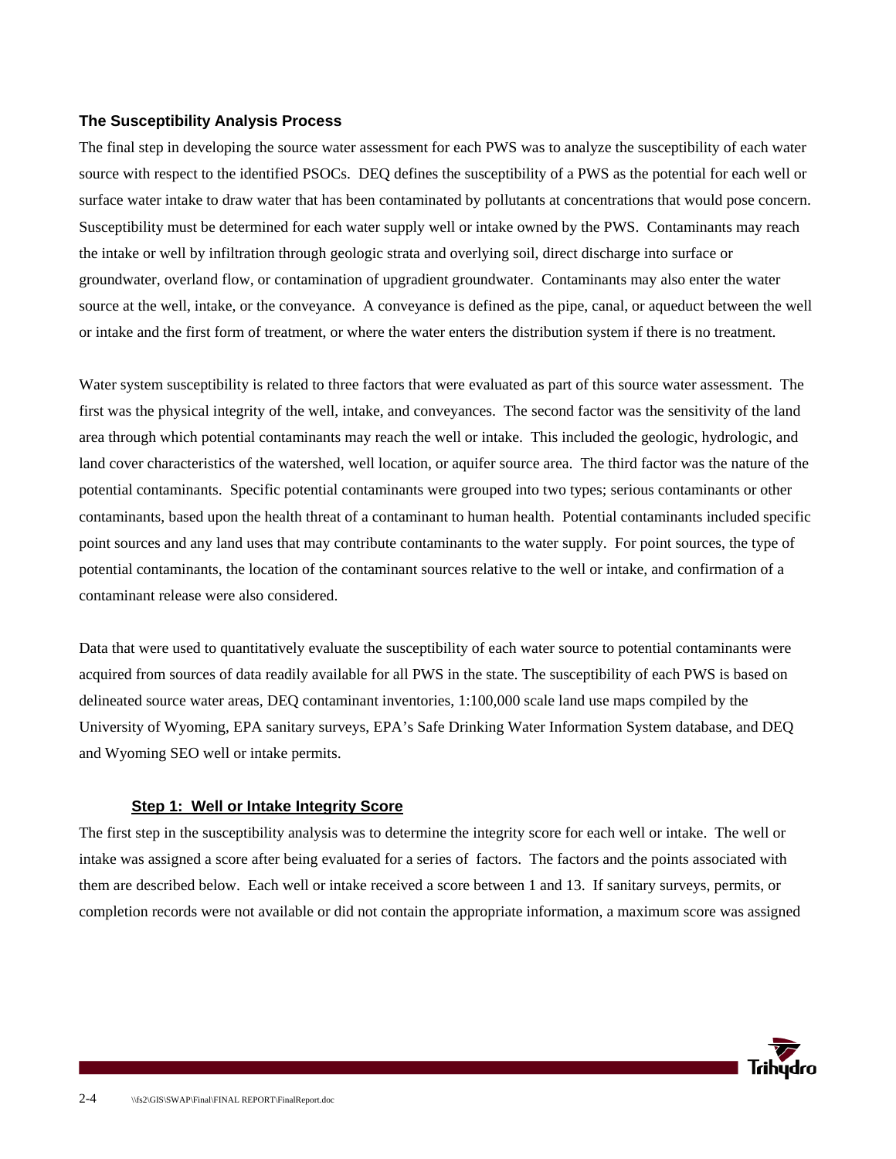#### **The Susceptibility Analysis Process**

The final step in developing the source water assessment for each PWS was to analyze the susceptibility of each water source with respect to the identified PSOCs. DEQ defines the susceptibility of a PWS as the potential for each well or surface water intake to draw water that has been contaminated by pollutants at concentrations that would pose concern. Susceptibility must be determined for each water supply well or intake owned by the PWS. Contaminants may reach the intake or well by infiltration through geologic strata and overlying soil, direct discharge into surface or groundwater, overland flow, or contamination of upgradient groundwater. Contaminants may also enter the water source at the well, intake, or the conveyance. A conveyance is defined as the pipe, canal, or aqueduct between the well or intake and the first form of treatment, or where the water enters the distribution system if there is no treatment.

Water system susceptibility is related to three factors that were evaluated as part of this source water assessment. The first was the physical integrity of the well, intake, and conveyances. The second factor was the sensitivity of the land area through which potential contaminants may reach the well or intake. This included the geologic, hydrologic, and land cover characteristics of the watershed, well location, or aquifer source area. The third factor was the nature of the potential contaminants. Specific potential contaminants were grouped into two types; serious contaminants or other contaminants, based upon the health threat of a contaminant to human health. Potential contaminants included specific point sources and any land uses that may contribute contaminants to the water supply. For point sources, the type of potential contaminants, the location of the contaminant sources relative to the well or intake, and confirmation of a contaminant release were also considered.

Data that were used to quantitatively evaluate the susceptibility of each water source to potential contaminants were acquired from sources of data readily available for all PWS in the state. The susceptibility of each PWS is based on delineated source water areas, DEQ contaminant inventories, 1:100,000 scale land use maps compiled by the University of Wyoming, EPA sanitary surveys, EPA's Safe Drinking Water Information System database, and DEQ and Wyoming SEO well or intake permits.

#### **Step 1: Well or Intake Integrity Score**

The first step in the susceptibility analysis was to determine the integrity score for each well or intake. The well or intake was assigned a score after being evaluated for a series of factors. The factors and the points associated with them are described below. Each well or intake received a score between 1 and 13. If sanitary surveys, permits, or completion records were not available or did not contain the appropriate information, a maximum score was assigned

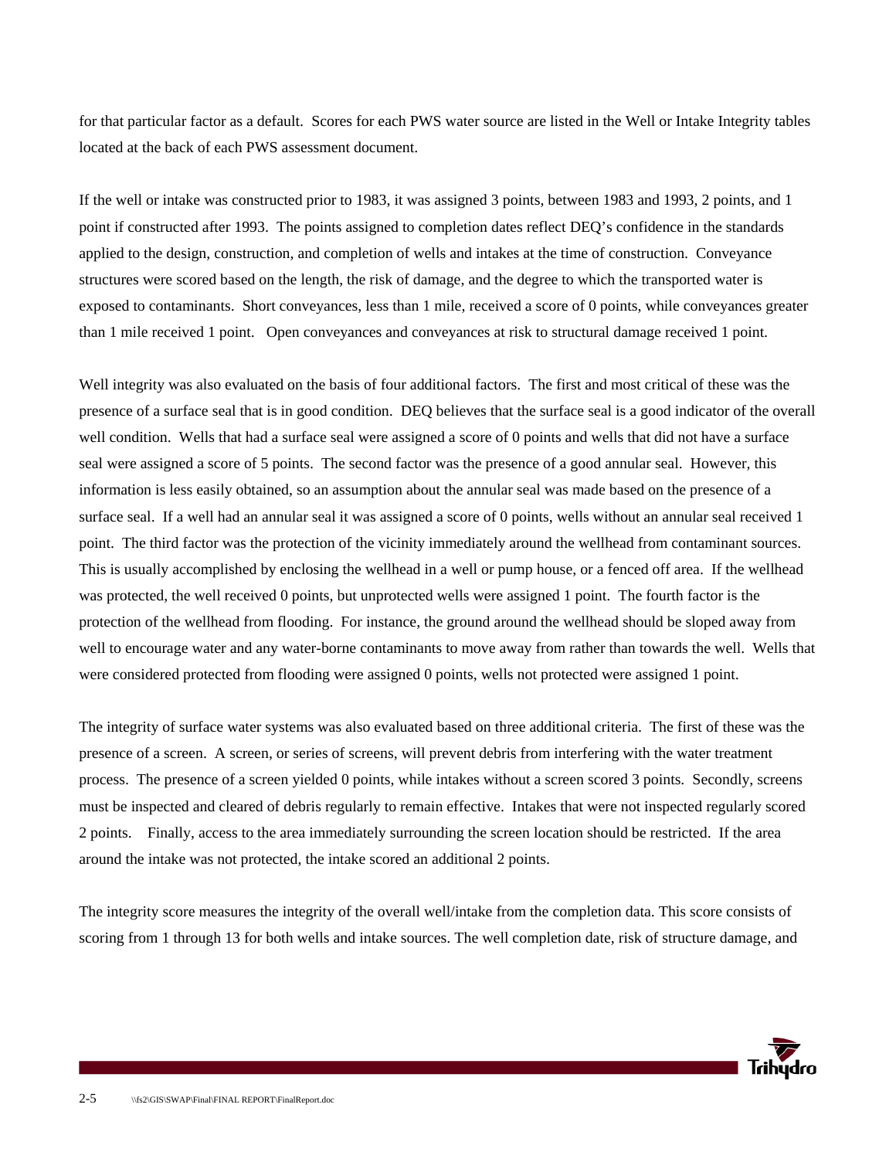for that particular factor as a default. Scores for each PWS water source are listed in the Well or Intake Integrity tables located at the back of each PWS assessment document.

If the well or intake was constructed prior to 1983, it was assigned 3 points, between 1983 and 1993, 2 points, and 1 point if constructed after 1993. The points assigned to completion dates reflect DEQ's confidence in the standards applied to the design, construction, and completion of wells and intakes at the time of construction. Conveyance structures were scored based on the length, the risk of damage, and the degree to which the transported water is exposed to contaminants. Short conveyances, less than 1 mile, received a score of 0 points, while conveyances greater than 1 mile received 1 point. Open conveyances and conveyances at risk to structural damage received 1 point.

Well integrity was also evaluated on the basis of four additional factors. The first and most critical of these was the presence of a surface seal that is in good condition. DEQ believes that the surface seal is a good indicator of the overall well condition. Wells that had a surface seal were assigned a score of 0 points and wells that did not have a surface seal were assigned a score of 5 points. The second factor was the presence of a good annular seal. However, this information is less easily obtained, so an assumption about the annular seal was made based on the presence of a surface seal. If a well had an annular seal it was assigned a score of 0 points, wells without an annular seal received 1 point. The third factor was the protection of the vicinity immediately around the wellhead from contaminant sources. This is usually accomplished by enclosing the wellhead in a well or pump house, or a fenced off area. If the wellhead was protected, the well received 0 points, but unprotected wells were assigned 1 point. The fourth factor is the protection of the wellhead from flooding. For instance, the ground around the wellhead should be sloped away from well to encourage water and any water-borne contaminants to move away from rather than towards the well. Wells that were considered protected from flooding were assigned 0 points, wells not protected were assigned 1 point.

The integrity of surface water systems was also evaluated based on three additional criteria. The first of these was the presence of a screen. A screen, or series of screens, will prevent debris from interfering with the water treatment process. The presence of a screen yielded 0 points, while intakes without a screen scored 3 points. Secondly, screens must be inspected and cleared of debris regularly to remain effective. Intakes that were not inspected regularly scored 2 points. Finally, access to the area immediately surrounding the screen location should be restricted. If the area around the intake was not protected, the intake scored an additional 2 points.

The integrity score measures the integrity of the overall well/intake from the completion data. This score consists of scoring from 1 through 13 for both wells and intake sources. The well completion date, risk of structure damage, and

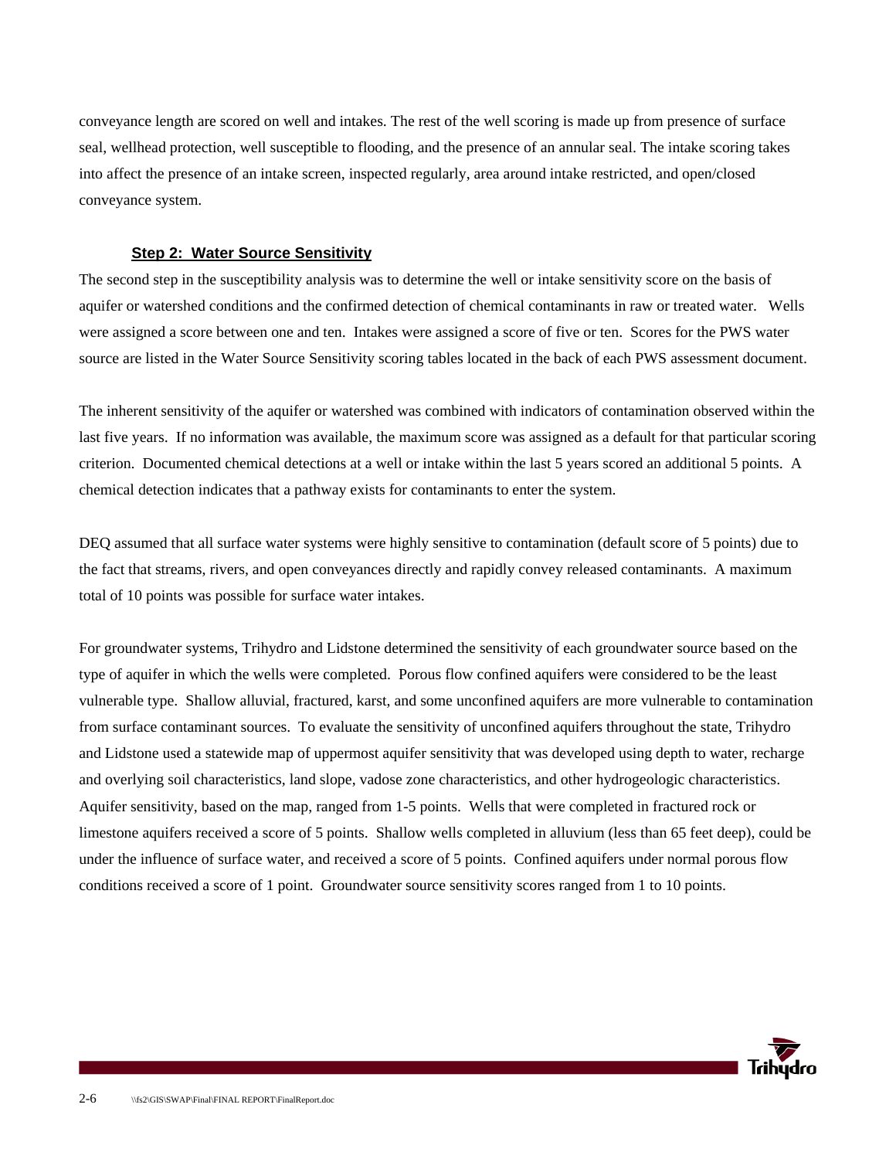conveyance length are scored on well and intakes. The rest of the well scoring is made up from presence of surface seal, wellhead protection, well susceptible to flooding, and the presence of an annular seal. The intake scoring takes into affect the presence of an intake screen, inspected regularly, area around intake restricted, and open/closed conveyance system.

#### **Step 2: Water Source Sensitivity**

The second step in the susceptibility analysis was to determine the well or intake sensitivity score on the basis of aquifer or watershed conditions and the confirmed detection of chemical contaminants in raw or treated water. Wells were assigned a score between one and ten. Intakes were assigned a score of five or ten. Scores for the PWS water source are listed in the Water Source Sensitivity scoring tables located in the back of each PWS assessment document.

The inherent sensitivity of the aquifer or watershed was combined with indicators of contamination observed within the last five years. If no information was available, the maximum score was assigned as a default for that particular scoring criterion. Documented chemical detections at a well or intake within the last 5 years scored an additional 5 points. A chemical detection indicates that a pathway exists for contaminants to enter the system.

DEQ assumed that all surface water systems were highly sensitive to contamination (default score of 5 points) due to the fact that streams, rivers, and open conveyances directly and rapidly convey released contaminants. A maximum total of 10 points was possible for surface water intakes.

For groundwater systems, Trihydro and Lidstone determined the sensitivity of each groundwater source based on the type of aquifer in which the wells were completed. Porous flow confined aquifers were considered to be the least vulnerable type. Shallow alluvial, fractured, karst, and some unconfined aquifers are more vulnerable to contamination from surface contaminant sources. To evaluate the sensitivity of unconfined aquifers throughout the state, Trihydro and Lidstone used a statewide map of uppermost aquifer sensitivity that was developed using depth to water, recharge and overlying soil characteristics, land slope, vadose zone characteristics, and other hydrogeologic characteristics. Aquifer sensitivity, based on the map, ranged from 1-5 points. Wells that were completed in fractured rock or limestone aquifers received a score of 5 points. Shallow wells completed in alluvium (less than 65 feet deep), could be under the influence of surface water, and received a score of 5 points. Confined aquifers under normal porous flow conditions received a score of 1 point. Groundwater source sensitivity scores ranged from 1 to 10 points.

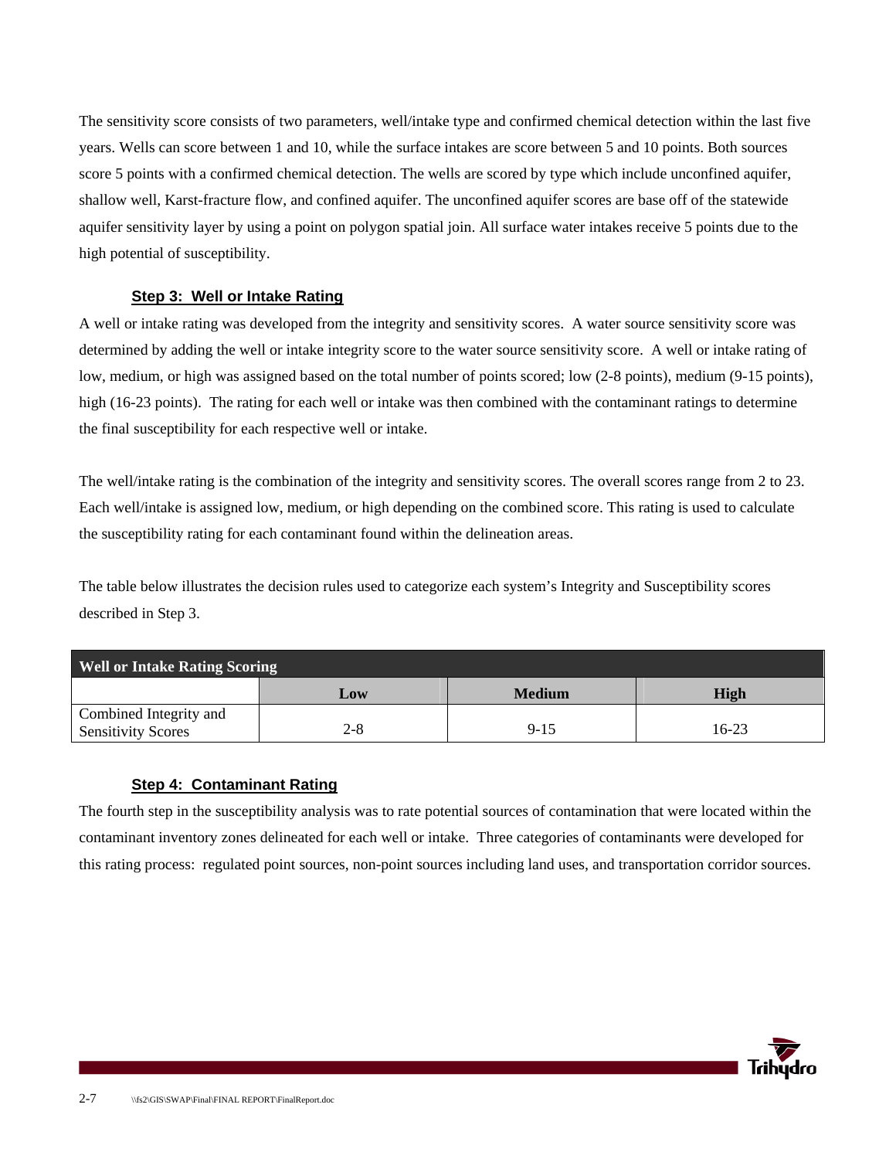The sensitivity score consists of two parameters, well/intake type and confirmed chemical detection within the last five years. Wells can score between 1 and 10, while the surface intakes are score between 5 and 10 points. Both sources score 5 points with a confirmed chemical detection. The wells are scored by type which include unconfined aquifer, shallow well, Karst-fracture flow, and confined aquifer. The unconfined aquifer scores are base off of the statewide aquifer sensitivity layer by using a point on polygon spatial join. All surface water intakes receive 5 points due to the high potential of susceptibility.

#### **Step 3: Well or Intake Rating**

A well or intake rating was developed from the integrity and sensitivity scores. A water source sensitivity score was determined by adding the well or intake integrity score to the water source sensitivity score. A well or intake rating of low, medium, or high was assigned based on the total number of points scored; low (2-8 points), medium (9-15 points), high (16-23 points). The rating for each well or intake was then combined with the contaminant ratings to determine the final susceptibility for each respective well or intake.

The well/intake rating is the combination of the integrity and sensitivity scores. The overall scores range from 2 to 23. Each well/intake is assigned low, medium, or high depending on the combined score. This rating is used to calculate the susceptibility rating for each contaminant found within the delineation areas.

The table below illustrates the decision rules used to categorize each system's Integrity and Susceptibility scores described in Step 3.

| <b>Well or Intake Rating Scoring</b>                |     |               |         |  |  |
|-----------------------------------------------------|-----|---------------|---------|--|--|
|                                                     | Low | <b>Medium</b> | High    |  |  |
| Combined Integrity and<br><b>Sensitivity Scores</b> | 2-8 | $9 - 15$      | $16-23$ |  |  |

#### **Step 4: Contaminant Rating**

The fourth step in the susceptibility analysis was to rate potential sources of contamination that were located within the contaminant inventory zones delineated for each well or intake. Three categories of contaminants were developed for this rating process: regulated point sources, non-point sources including land uses, and transportation corridor sources.

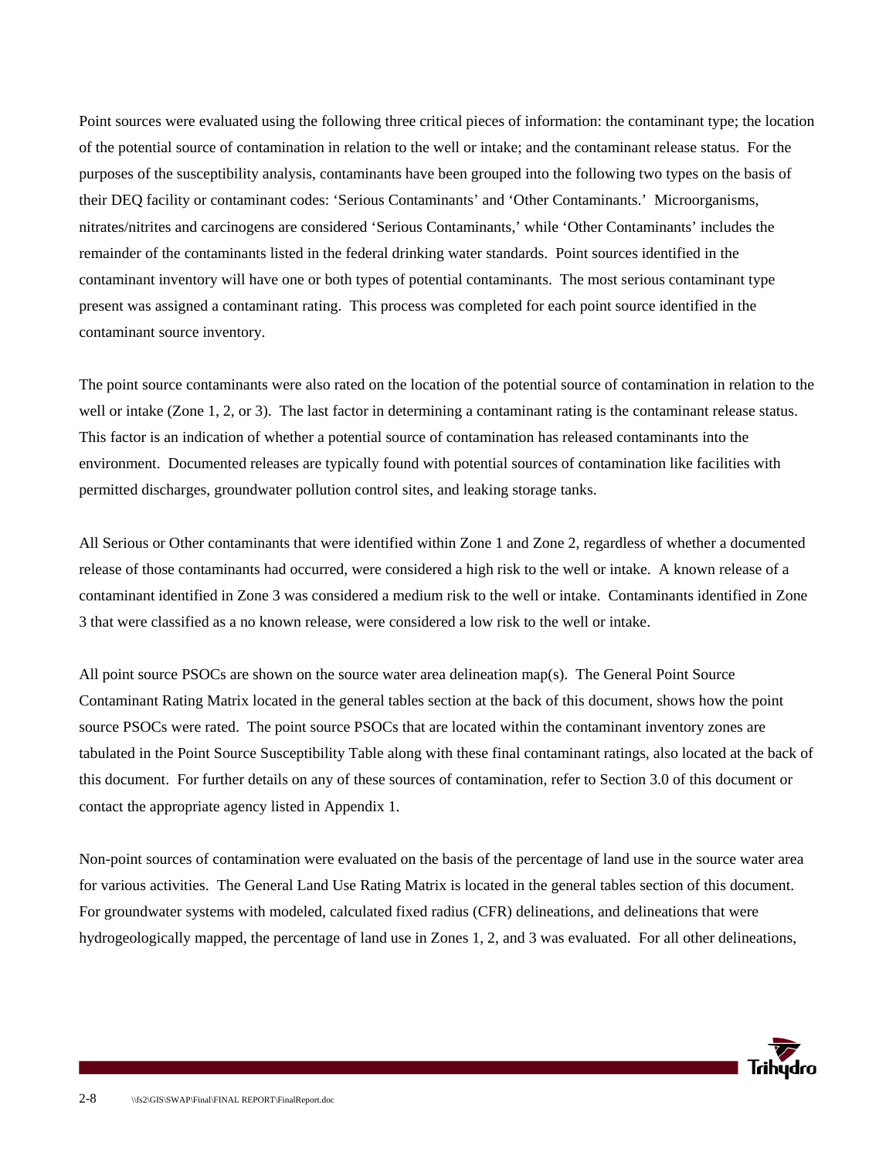Point sources were evaluated using the following three critical pieces of information: the contaminant type; the location of the potential source of contamination in relation to the well or intake; and the contaminant release status. For the purposes of the susceptibility analysis, contaminants have been grouped into the following two types on the basis of their DEQ facility or contaminant codes: 'Serious Contaminants' and 'Other Contaminants.' Microorganisms, nitrates/nitrites and carcinogens are considered 'Serious Contaminants,' while 'Other Contaminants' includes the remainder of the contaminants listed in the federal drinking water standards. Point sources identified in the contaminant inventory will have one or both types of potential contaminants. The most serious contaminant type present was assigned a contaminant rating. This process was completed for each point source identified in the contaminant source inventory.

The point source contaminants were also rated on the location of the potential source of contamination in relation to the well or intake (Zone 1, 2, or 3). The last factor in determining a contaminant rating is the contaminant release status. This factor is an indication of whether a potential source of contamination has released contaminants into the environment. Documented releases are typically found with potential sources of contamination like facilities with permitted discharges, groundwater pollution control sites, and leaking storage tanks.

All Serious or Other contaminants that were identified within Zone 1 and Zone 2, regardless of whether a documented release of those contaminants had occurred, were considered a high risk to the well or intake. A known release of a contaminant identified in Zone 3 was considered a medium risk to the well or intake. Contaminants identified in Zone 3 that were classified as a no known release, were considered a low risk to the well or intake.

All point source PSOCs are shown on the source water area delineation map(s). The General Point Source Contaminant Rating Matrix located in the general tables section at the back of this document, shows how the point source PSOCs were rated. The point source PSOCs that are located within the contaminant inventory zones are tabulated in the Point Source Susceptibility Table along with these final contaminant ratings, also located at the back of this document. For further details on any of these sources of contamination, refer to Section 3.0 of this document or contact the appropriate agency listed in Appendix 1.

Non-point sources of contamination were evaluated on the basis of the percentage of land use in the source water area for various activities. The General Land Use Rating Matrix is located in the general tables section of this document. For groundwater systems with modeled, calculated fixed radius (CFR) delineations, and delineations that were hydrogeologically mapped, the percentage of land use in Zones 1, 2, and 3 was evaluated. For all other delineations,

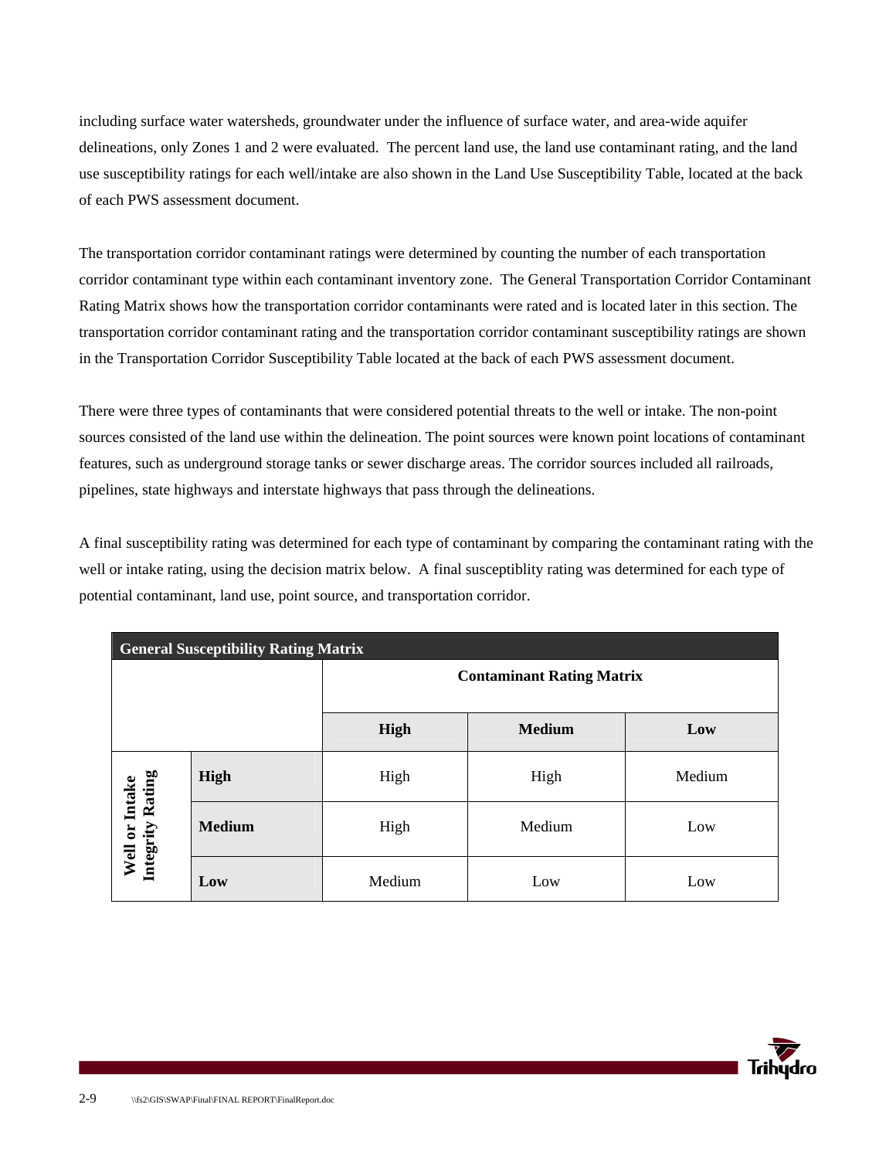including surface water watersheds, groundwater under the influence of surface water, and area-wide aquifer delineations, only Zones 1 and 2 were evaluated. The percent land use, the land use contaminant rating, and the land use susceptibility ratings for each well/intake are also shown in the Land Use Susceptibility Table, located at the back of each PWS assessment document.

The transportation corridor contaminant ratings were determined by counting the number of each transportation corridor contaminant type within each contaminant inventory zone. The General Transportation Corridor Contaminant Rating Matrix shows how the transportation corridor contaminants were rated and is located later in this section. The transportation corridor contaminant rating and the transportation corridor contaminant susceptibility ratings are shown in the Transportation Corridor Susceptibility Table located at the back of each PWS assessment document.

There were three types of contaminants that were considered potential threats to the well or intake. The non-point sources consisted of the land use within the delineation. The point sources were known point locations of contaminant features, such as underground storage tanks or sewer discharge areas. The corridor sources included all railroads, pipelines, state highways and interstate highways that pass through the delineations.

A final susceptibility rating was determined for each type of contaminant by comparing the contaminant rating with the well or intake rating, using the decision matrix below. A final susceptiblity rating was determined for each type of potential contaminant, land use, point source, and transportation corridor.

| <b>General Susceptibility Rating Matrix</b> |               |                                  |               |        |
|---------------------------------------------|---------------|----------------------------------|---------------|--------|
|                                             |               | <b>Contaminant Rating Matrix</b> |               |        |
|                                             |               | High                             | <b>Medium</b> | Low    |
|                                             | High          | High                             | High          | Medium |
| Well or Intake<br>Integrity Rating          | <b>Medium</b> | High                             | Medium        | Low    |
|                                             | Low           | Medium                           | Low           | Low    |

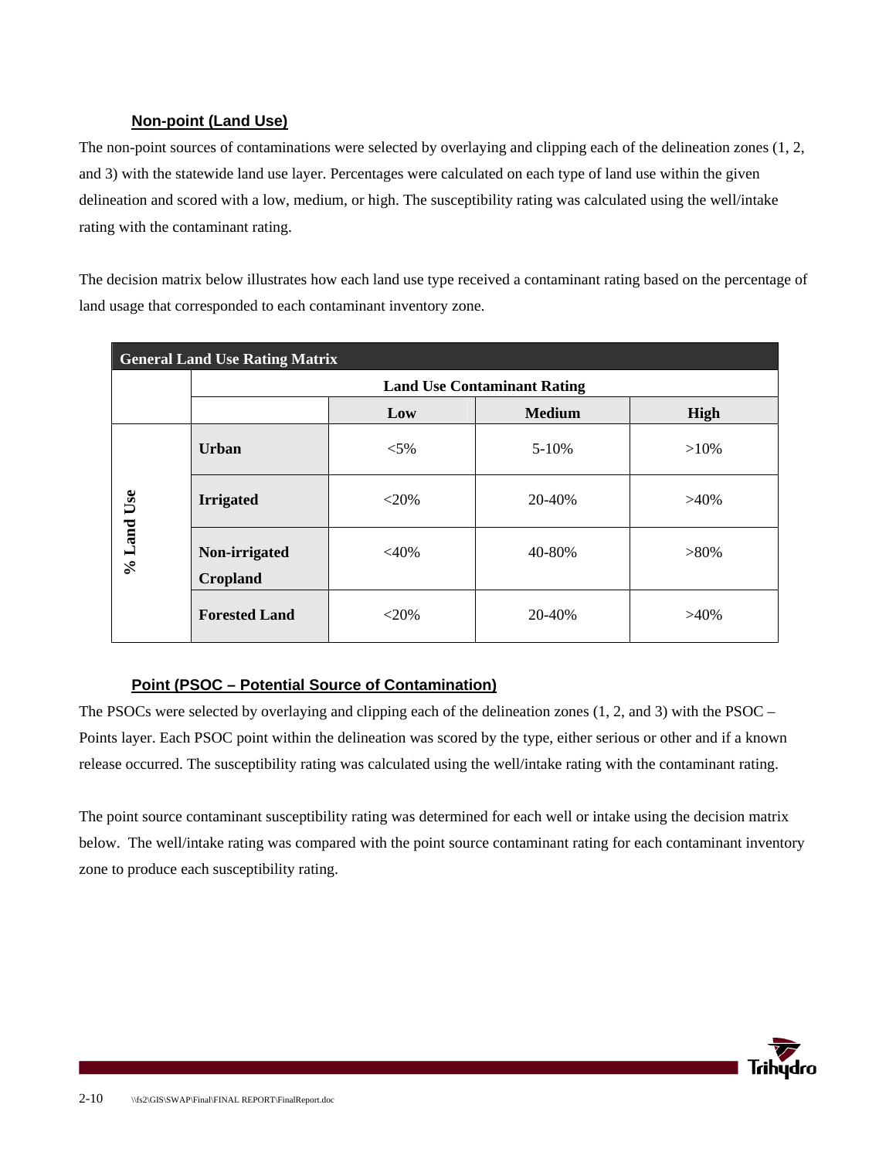#### **Non-point (Land Use)**

The non-point sources of contaminations were selected by overlaying and clipping each of the delineation zones (1, 2, and 3) with the statewide land use layer. Percentages were calculated on each type of land use within the given delineation and scored with a low, medium, or high. The susceptibility rating was calculated using the well/intake rating with the contaminant rating.

The decision matrix below illustrates how each land use type received a contaminant rating based on the percentage of land usage that corresponded to each contaminant inventory zone.

| <b>General Land Use Rating Matrix</b> |                                    |         |               |         |  |
|---------------------------------------|------------------------------------|---------|---------------|---------|--|
|                                       | <b>Land Use Contaminant Rating</b> |         |               |         |  |
|                                       |                                    | Low     | <b>Medium</b> | High    |  |
|                                       | <b>Urban</b>                       | $< 5\%$ | $5 - 10%$     | $>10\%$ |  |
|                                       | <b>Irrigated</b>                   | $<$ 20% | 20-40%        | $>40\%$ |  |
| $%$ Land Use                          | Non-irrigated<br><b>Cropland</b>   | $<$ 40% | 40-80%        | $>80\%$ |  |
|                                       | <b>Forested Land</b>               | $<$ 20% | 20-40%        | $>40\%$ |  |

### **Point (PSOC – Potential Source of Contamination)**

The PSOCs were selected by overlaying and clipping each of the delineation zones (1, 2, and 3) with the PSOC – Points layer. Each PSOC point within the delineation was scored by the type, either serious or other and if a known release occurred. The susceptibility rating was calculated using the well/intake rating with the contaminant rating.

The point source contaminant susceptibility rating was determined for each well or intake using the decision matrix below. The well/intake rating was compared with the point source contaminant rating for each contaminant inventory zone to produce each susceptibility rating.

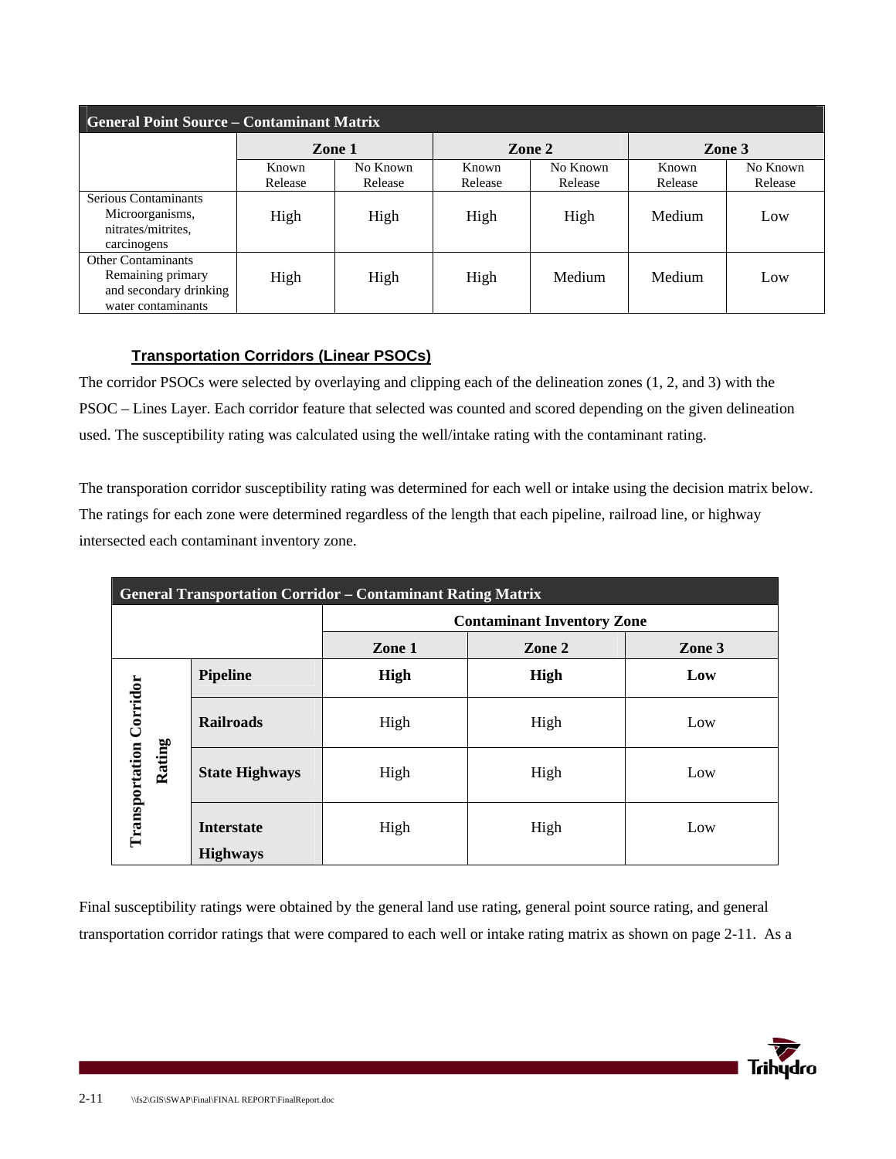| <b>General Point Source - Contaminant Matrix</b>                                               |                  |                     |                  |                     |                  |                     |
|------------------------------------------------------------------------------------------------|------------------|---------------------|------------------|---------------------|------------------|---------------------|
|                                                                                                | Zone 1           |                     | Zone 2           |                     | Zone 3           |                     |
|                                                                                                | Known<br>Release | No Known<br>Release | Known<br>Release | No Known<br>Release | Known<br>Release | No Known<br>Release |
| Serious Contaminants<br>Microorganisms,<br>nitrates/mitrites.<br>carcinogens                   | High             | High                | High             | High                | Medium           | Low                 |
| <b>Other Contaminants</b><br>Remaining primary<br>and secondary drinking<br>water contaminants | High             | High                | High             | Medium              | Medium           | Low                 |

### **Transportation Corridors (Linear PSOCs)**

The corridor PSOCs were selected by overlaying and clipping each of the delineation zones (1, 2, and 3) with the PSOC – Lines Layer. Each corridor feature that selected was counted and scored depending on the given delineation used. The susceptibility rating was calculated using the well/intake rating with the contaminant rating.

The transporation corridor susceptibility rating was determined for each well or intake using the decision matrix below. The ratings for each zone were determined regardless of the length that each pipeline, railroad line, or highway intersected each contaminant inventory zone.

| <b>General Transportation Corridor – Contaminant Rating Matrix</b> |                                      |                                   |      |     |  |
|--------------------------------------------------------------------|--------------------------------------|-----------------------------------|------|-----|--|
|                                                                    |                                      | <b>Contaminant Inventory Zone</b> |      |     |  |
|                                                                    |                                      | Zone 1<br>Zone 2                  |      |     |  |
|                                                                    | <b>Pipeline</b>                      | <b>High</b>                       | High | Low |  |
|                                                                    | <b>Railroads</b>                     | High                              | High | Low |  |
| Transportation Corridor<br>Rating                                  | <b>State Highways</b>                | High                              | High | Low |  |
|                                                                    | <b>Interstate</b><br><b>Highways</b> | High                              | High | Low |  |

Final susceptibility ratings were obtained by the general land use rating, general point source rating, and general transportation corridor ratings that were compared to each well or intake rating matrix as shown on page 2-11. As a

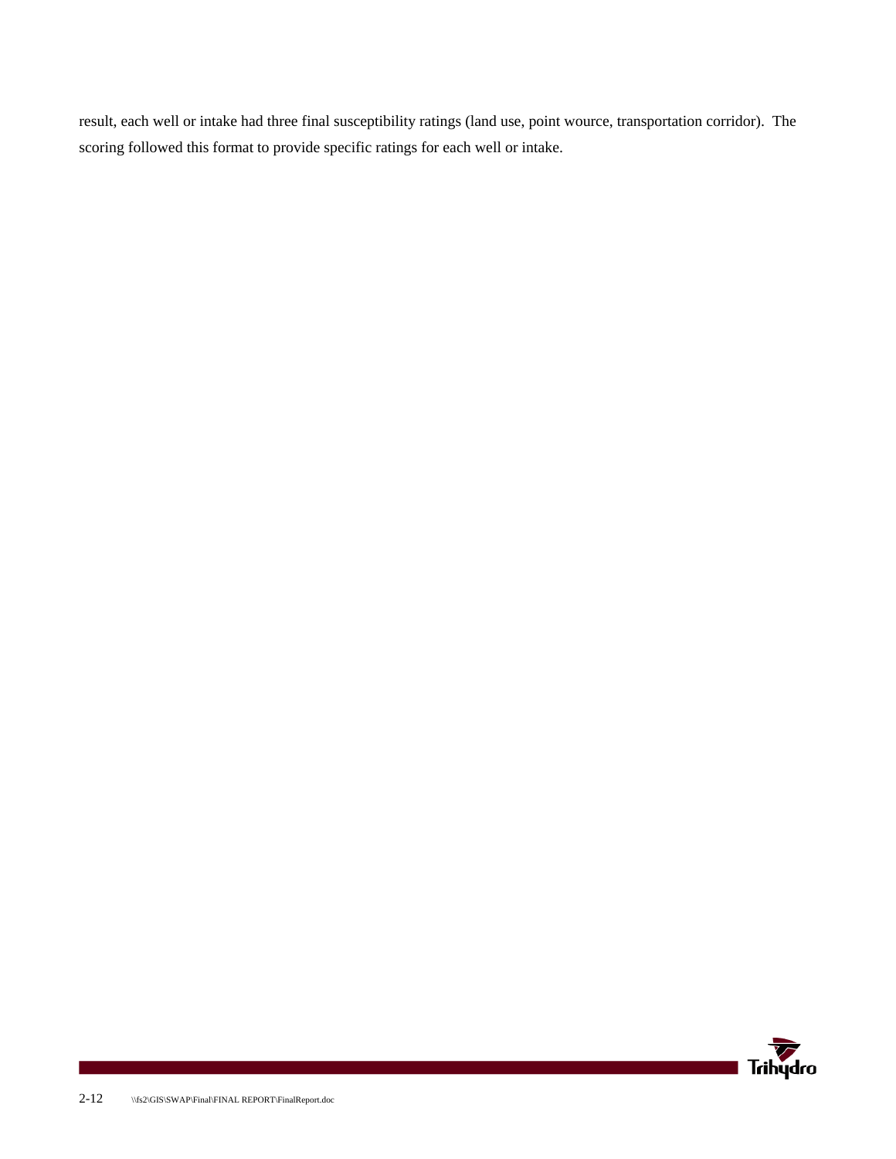result, each well or intake had three final susceptibility ratings (land use, point wource, transportation corridor). The scoring followed this format to provide specific ratings for each well or intake.

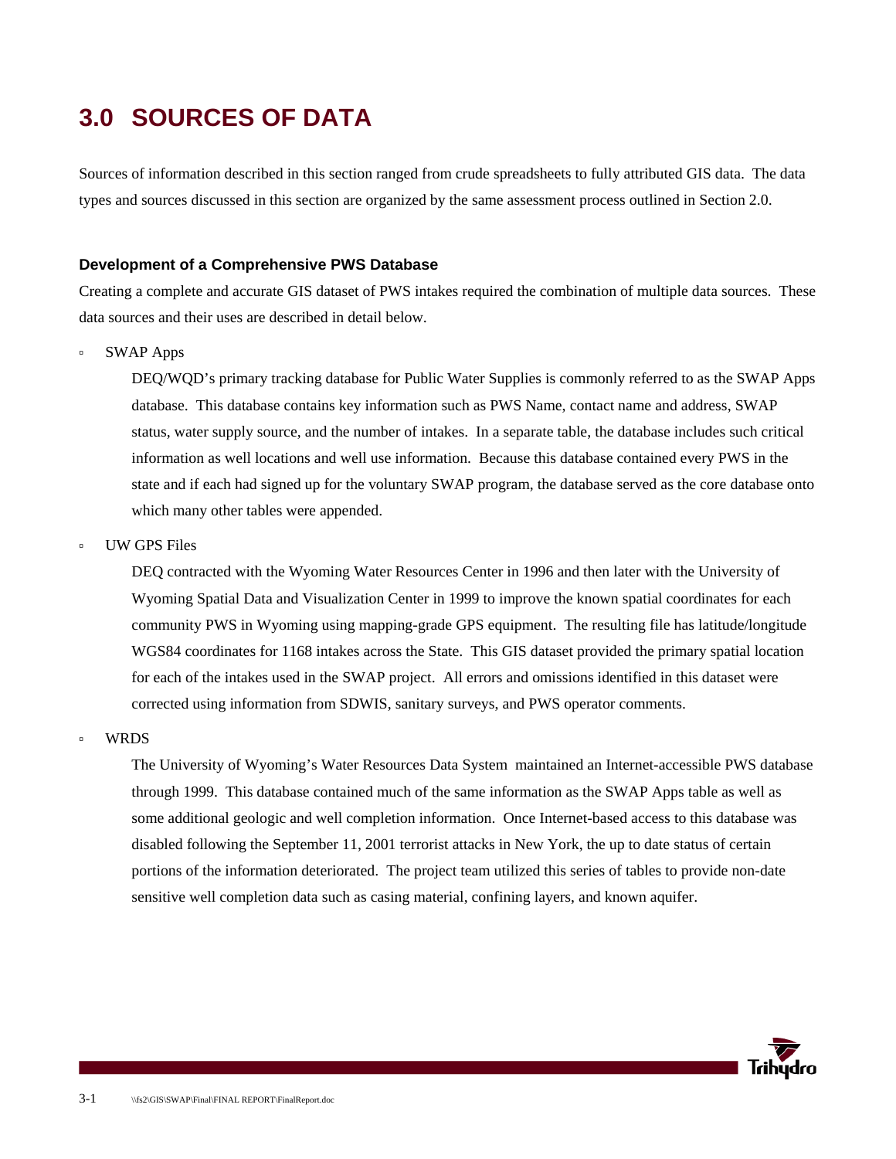## **3.0 SOURCES OF DATA**

Sources of information described in this section ranged from crude spreadsheets to fully attributed GIS data. The data types and sources discussed in this section are organized by the same assessment process outlined in Section 2.0.

#### **Development of a Comprehensive PWS Database**

Creating a complete and accurate GIS dataset of PWS intakes required the combination of multiple data sources. These data sources and their uses are described in detail below.

à SWAP Apps

DEQ/WQD's primary tracking database for Public Water Supplies is commonly referred to as the SWAP Apps database. This database contains key information such as PWS Name, contact name and address, SWAP status, water supply source, and the number of intakes. In a separate table, the database includes such critical information as well locations and well use information. Because this database contained every PWS in the state and if each had signed up for the voluntary SWAP program, the database served as the core database onto which many other tables were appended.

à UW GPS Files

DEQ contracted with the Wyoming Water Resources Center in 1996 and then later with the University of Wyoming Spatial Data and Visualization Center in 1999 to improve the known spatial coordinates for each community PWS in Wyoming using mapping-grade GPS equipment. The resulting file has latitude/longitude WGS84 coordinates for 1168 intakes across the State. This GIS dataset provided the primary spatial location for each of the intakes used in the SWAP project. All errors and omissions identified in this dataset were corrected using information from SDWIS, sanitary surveys, and PWS operator comments.

à WRDS

The University of Wyoming's Water Resources Data System maintained an Internet-accessible PWS database through 1999. This database contained much of the same information as the SWAP Apps table as well as some additional geologic and well completion information. Once Internet-based access to this database was disabled following the September 11, 2001 terrorist attacks in New York, the up to date status of certain portions of the information deteriorated. The project team utilized this series of tables to provide non-date sensitive well completion data such as casing material, confining layers, and known aquifer.

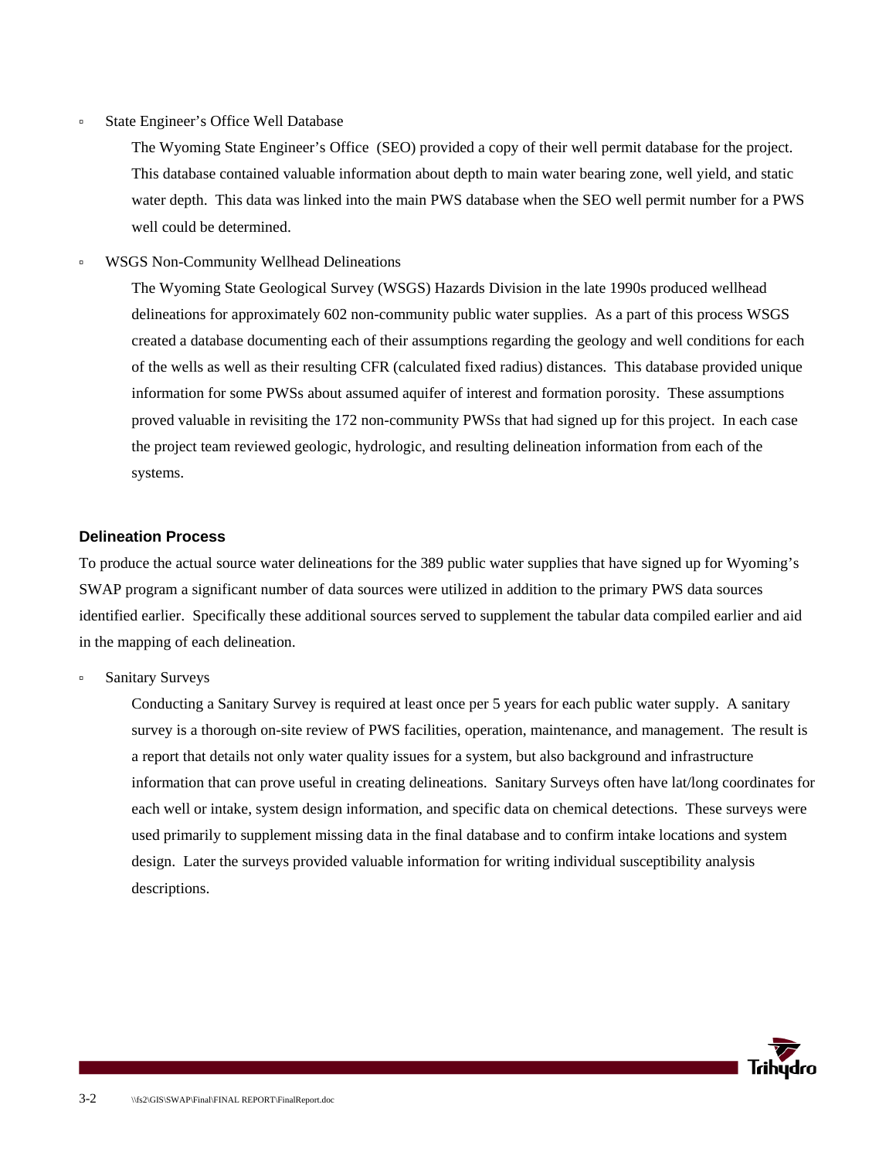à State Engineer's Office Well Database

The Wyoming State Engineer's Office (SEO) provided a copy of their well permit database for the project. This database contained valuable information about depth to main water bearing zone, well yield, and static water depth. This data was linked into the main PWS database when the SEO well permit number for a PWS well could be determined.

à WSGS Non-Community Wellhead Delineations

The Wyoming State Geological Survey (WSGS) Hazards Division in the late 1990s produced wellhead delineations for approximately 602 non-community public water supplies. As a part of this process WSGS created a database documenting each of their assumptions regarding the geology and well conditions for each of the wells as well as their resulting CFR (calculated fixed radius) distances. This database provided unique information for some PWSs about assumed aquifer of interest and formation porosity. These assumptions proved valuable in revisiting the 172 non-community PWSs that had signed up for this project. In each case the project team reviewed geologic, hydrologic, and resulting delineation information from each of the systems.

#### **Delineation Process**

To produce the actual source water delineations for the 389 public water supplies that have signed up for Wyoming's SWAP program a significant number of data sources were utilized in addition to the primary PWS data sources identified earlier. Specifically these additional sources served to supplement the tabular data compiled earlier and aid in the mapping of each delineation.

à Sanitary Surveys

Conducting a Sanitary Survey is required at least once per 5 years for each public water supply. A sanitary survey is a thorough on-site review of PWS facilities, operation, maintenance, and management. The result is a report that details not only water quality issues for a system, but also background and infrastructure information that can prove useful in creating delineations. Sanitary Surveys often have lat/long coordinates for each well or intake, system design information, and specific data on chemical detections. These surveys were used primarily to supplement missing data in the final database and to confirm intake locations and system design. Later the surveys provided valuable information for writing individual susceptibility analysis descriptions.

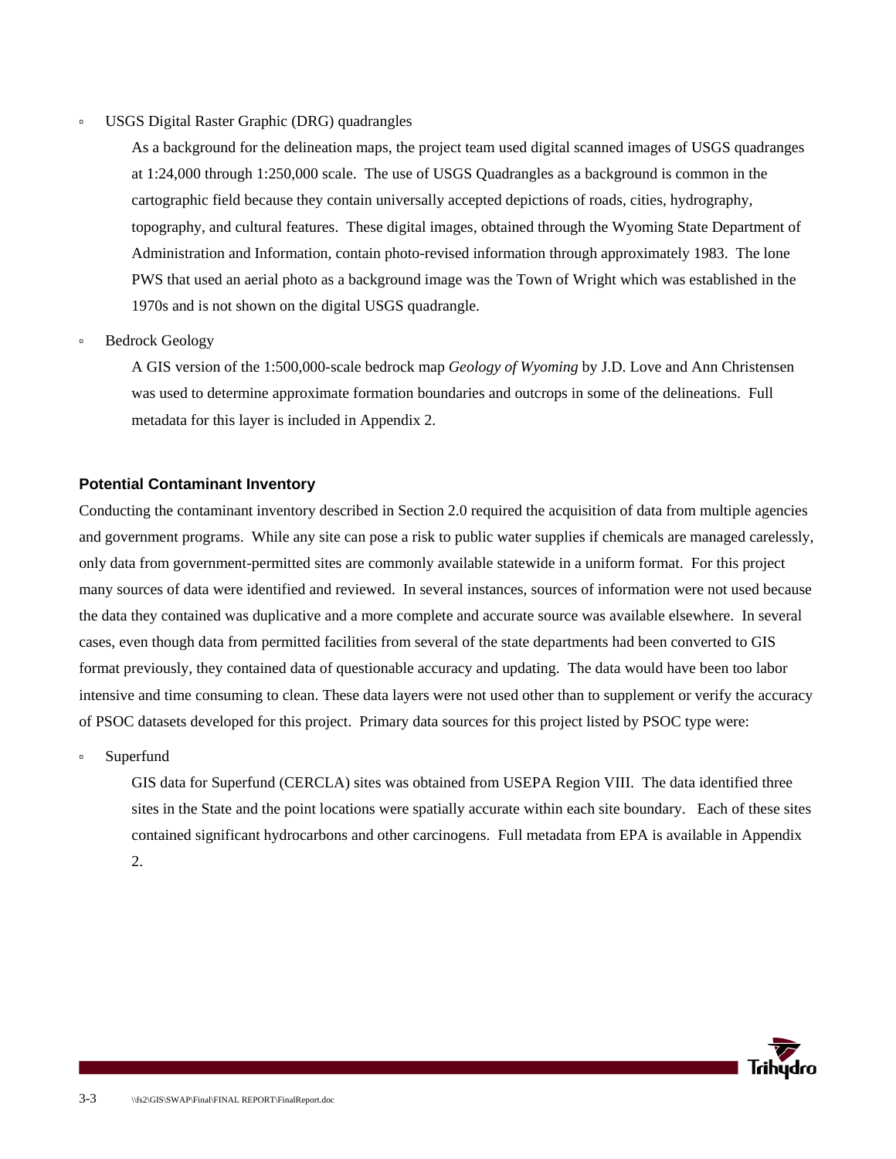#### à USGS Digital Raster Graphic (DRG) quadrangles

As a background for the delineation maps, the project team used digital scanned images of USGS quadranges at 1:24,000 through 1:250,000 scale. The use of USGS Quadrangles as a background is common in the cartographic field because they contain universally accepted depictions of roads, cities, hydrography, topography, and cultural features. These digital images, obtained through the Wyoming State Department of Administration and Information, contain photo-revised information through approximately 1983. The lone PWS that used an aerial photo as a background image was the Town of Wright which was established in the 1970s and is not shown on the digital USGS quadrangle.

à Bedrock Geology

A GIS version of the 1:500,000-scale bedrock map *Geology of Wyoming* by J.D. Love and Ann Christensen was used to determine approximate formation boundaries and outcrops in some of the delineations. Full metadata for this layer is included in Appendix 2.

#### **Potential Contaminant Inventory**

Conducting the contaminant inventory described in Section 2.0 required the acquisition of data from multiple agencies and government programs. While any site can pose a risk to public water supplies if chemicals are managed carelessly, only data from government-permitted sites are commonly available statewide in a uniform format. For this project many sources of data were identified and reviewed. In several instances, sources of information were not used because the data they contained was duplicative and a more complete and accurate source was available elsewhere. In several cases, even though data from permitted facilities from several of the state departments had been converted to GIS format previously, they contained data of questionable accuracy and updating. The data would have been too labor intensive and time consuming to clean. These data layers were not used other than to supplement or verify the accuracy of PSOC datasets developed for this project. Primary data sources for this project listed by PSOC type were:

à Superfund

GIS data for Superfund (CERCLA) sites was obtained from USEPA Region VIII. The data identified three sites in the State and the point locations were spatially accurate within each site boundary. Each of these sites contained significant hydrocarbons and other carcinogens. Full metadata from EPA is available in Appendix 2.

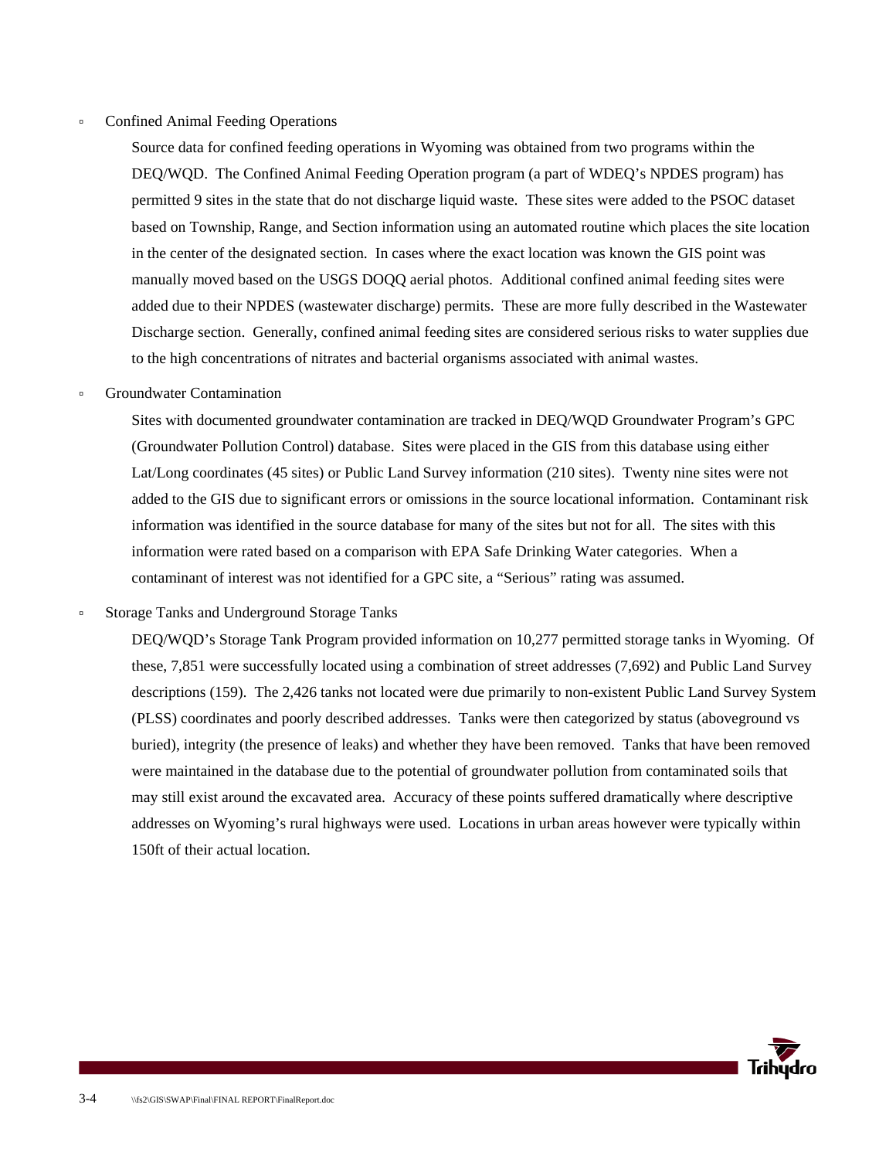#### à Confined Animal Feeding Operations

Source data for confined feeding operations in Wyoming was obtained from two programs within the DEQ/WQD. The Confined Animal Feeding Operation program (a part of WDEQ's NPDES program) has permitted 9 sites in the state that do not discharge liquid waste. These sites were added to the PSOC dataset based on Township, Range, and Section information using an automated routine which places the site location in the center of the designated section. In cases where the exact location was known the GIS point was manually moved based on the USGS DOQQ aerial photos. Additional confined animal feeding sites were added due to their NPDES (wastewater discharge) permits. These are more fully described in the Wastewater Discharge section. Generally, confined animal feeding sites are considered serious risks to water supplies due to the high concentrations of nitrates and bacterial organisms associated with animal wastes.

#### à Groundwater Contamination

Sites with documented groundwater contamination are tracked in DEQ/WQD Groundwater Program's GPC (Groundwater Pollution Control) database. Sites were placed in the GIS from this database using either Lat/Long coordinates (45 sites) or Public Land Survey information (210 sites). Twenty nine sites were not added to the GIS due to significant errors or omissions in the source locational information. Contaminant risk information was identified in the source database for many of the sites but not for all. The sites with this information were rated based on a comparison with EPA Safe Drinking Water categories. When a contaminant of interest was not identified for a GPC site, a "Serious" rating was assumed.

à Storage Tanks and Underground Storage Tanks

DEQ/WQD's Storage Tank Program provided information on 10,277 permitted storage tanks in Wyoming. Of these, 7,851 were successfully located using a combination of street addresses (7,692) and Public Land Survey descriptions (159). The 2,426 tanks not located were due primarily to non-existent Public Land Survey System (PLSS) coordinates and poorly described addresses. Tanks were then categorized by status (aboveground vs buried), integrity (the presence of leaks) and whether they have been removed. Tanks that have been removed were maintained in the database due to the potential of groundwater pollution from contaminated soils that may still exist around the excavated area. Accuracy of these points suffered dramatically where descriptive addresses on Wyoming's rural highways were used. Locations in urban areas however were typically within 150ft of their actual location.

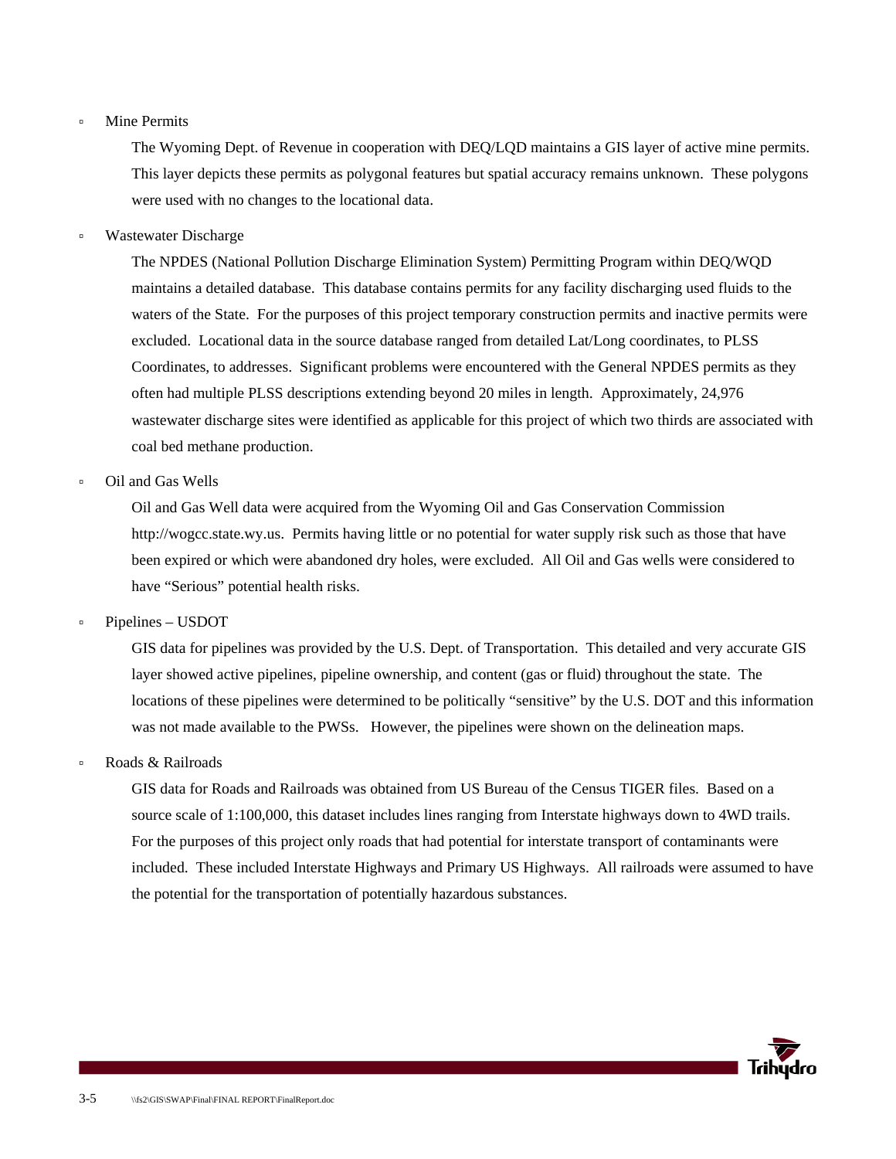#### à Mine Permits

The Wyoming Dept. of Revenue in cooperation with DEQ/LQD maintains a GIS layer of active mine permits. This layer depicts these permits as polygonal features but spatial accuracy remains unknown. These polygons were used with no changes to the locational data.

à Wastewater Discharge

The NPDES (National Pollution Discharge Elimination System) Permitting Program within DEQ/WQD maintains a detailed database. This database contains permits for any facility discharging used fluids to the waters of the State. For the purposes of this project temporary construction permits and inactive permits were excluded. Locational data in the source database ranged from detailed Lat/Long coordinates, to PLSS Coordinates, to addresses. Significant problems were encountered with the General NPDES permits as they often had multiple PLSS descriptions extending beyond 20 miles in length. Approximately, 24,976 wastewater discharge sites were identified as applicable for this project of which two thirds are associated with coal bed methane production.

à Oil and Gas Wells

Oil and Gas Well data were acquired from the Wyoming Oil and Gas Conservation Commission http://wogcc.state.wy.us. Permits having little or no potential for water supply risk such as those that have been expired or which were abandoned dry holes, were excluded. All Oil and Gas wells were considered to have "Serious" potential health risks.

à Pipelines – USDOT

GIS data for pipelines was provided by the U.S. Dept. of Transportation. This detailed and very accurate GIS layer showed active pipelines, pipeline ownership, and content (gas or fluid) throughout the state. The locations of these pipelines were determined to be politically "sensitive" by the U.S. DOT and this information was not made available to the PWSs. However, the pipelines were shown on the delineation maps.

à Roads & Railroads

GIS data for Roads and Railroads was obtained from US Bureau of the Census TIGER files. Based on a source scale of 1:100,000, this dataset includes lines ranging from Interstate highways down to 4WD trails. For the purposes of this project only roads that had potential for interstate transport of contaminants were included. These included Interstate Highways and Primary US Highways. All railroads were assumed to have the potential for the transportation of potentially hazardous substances.

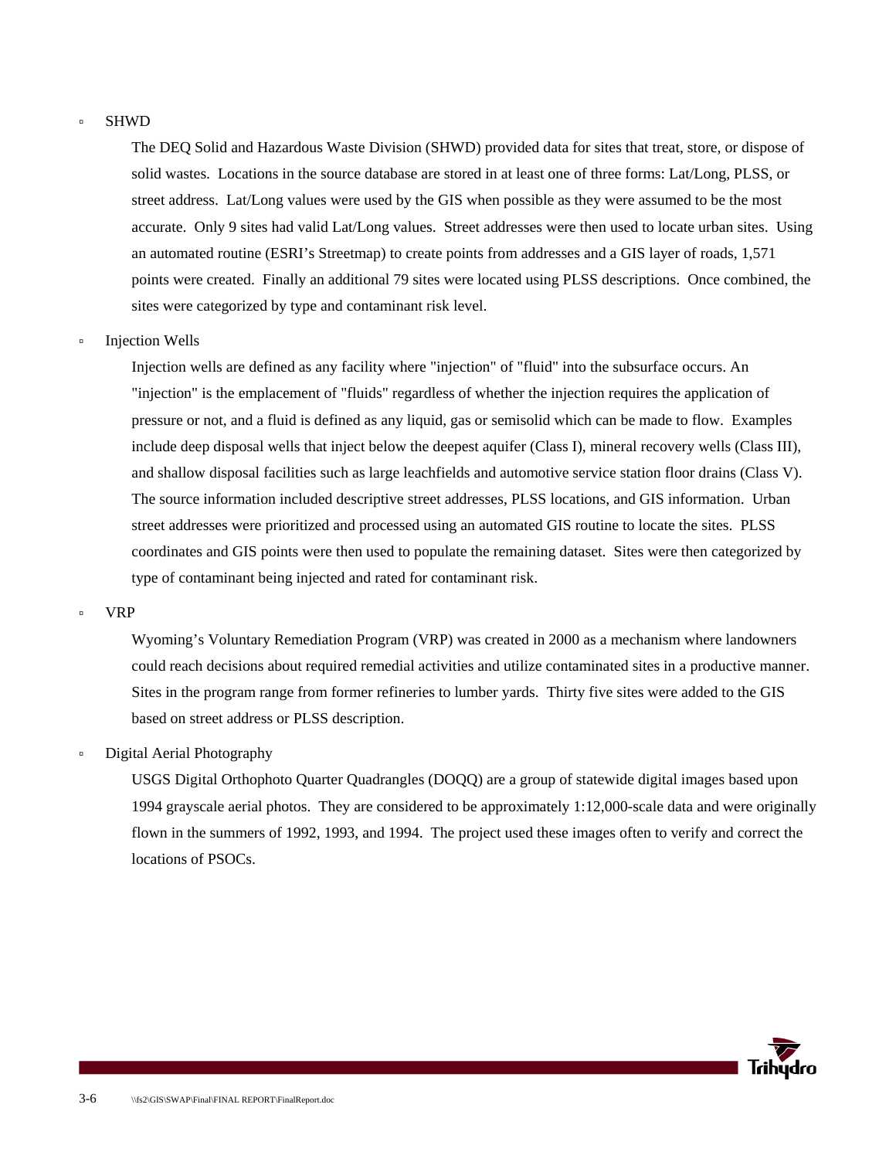#### à SHWD

The DEQ Solid and Hazardous Waste Division (SHWD) provided data for sites that treat, store, or dispose of solid wastes. Locations in the source database are stored in at least one of three forms: Lat/Long, PLSS, or street address. Lat/Long values were used by the GIS when possible as they were assumed to be the most accurate. Only 9 sites had valid Lat/Long values. Street addresses were then used to locate urban sites. Using an automated routine (ESRI's Streetmap) to create points from addresses and a GIS layer of roads, 1,571 points were created. Finally an additional 79 sites were located using PLSS descriptions. Once combined, the sites were categorized by type and contaminant risk level.

à Injection Wells

Injection wells are defined as any facility where "injection" of "fluid" into the subsurface occurs. An "injection" is the emplacement of "fluids" regardless of whether the injection requires the application of pressure or not, and a fluid is defined as any liquid, gas or semisolid which can be made to flow. Examples include deep disposal wells that inject below the deepest aquifer (Class I), mineral recovery wells (Class III), and shallow disposal facilities such as large leachfields and automotive service station floor drains (Class V). The source information included descriptive street addresses, PLSS locations, and GIS information. Urban street addresses were prioritized and processed using an automated GIS routine to locate the sites. PLSS coordinates and GIS points were then used to populate the remaining dataset. Sites were then categorized by type of contaminant being injected and rated for contaminant risk.

à VRP

Wyoming's Voluntary Remediation Program (VRP) was created in 2000 as a mechanism where landowners could reach decisions about required remedial activities and utilize contaminated sites in a productive manner. Sites in the program range from former refineries to lumber yards. Thirty five sites were added to the GIS based on street address or PLSS description.

Digital Aerial Photography

USGS Digital Orthophoto Quarter Quadrangles (DOQQ) are a group of statewide digital images based upon 1994 grayscale aerial photos. They are considered to be approximately 1:12,000-scale data and were originally flown in the summers of 1992, 1993, and 1994. The project used these images often to verify and correct the locations of PSOCs.

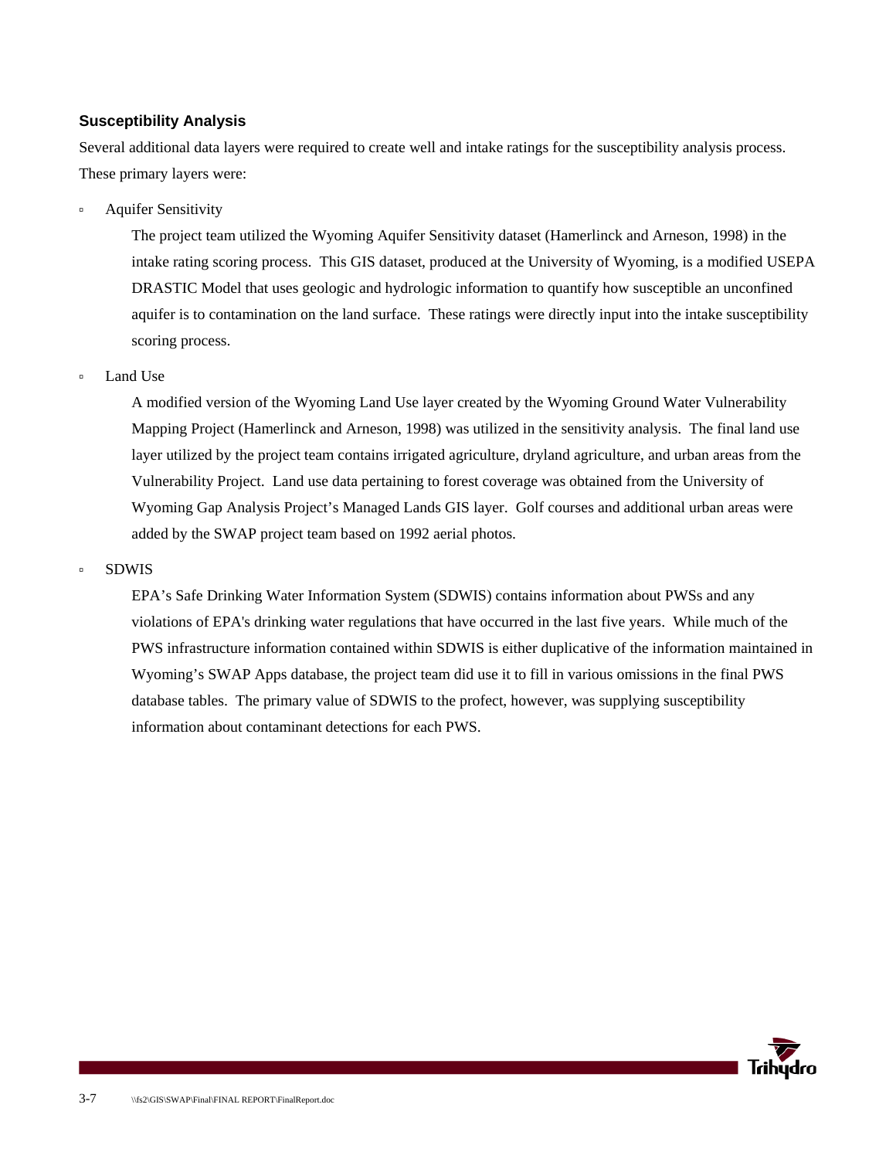### **Susceptibility Analysis**

Several additional data layers were required to create well and intake ratings for the susceptibility analysis process. These primary layers were:

à Aquifer Sensitivity

The project team utilized the Wyoming Aquifer Sensitivity dataset (Hamerlinck and Arneson, 1998) in the intake rating scoring process. This GIS dataset, produced at the University of Wyoming, is a modified USEPA DRASTIC Model that uses geologic and hydrologic information to quantify how susceptible an unconfined aquifer is to contamination on the land surface. These ratings were directly input into the intake susceptibility scoring process.

#### à Land Use

A modified version of the Wyoming Land Use layer created by the Wyoming Ground Water Vulnerability Mapping Project (Hamerlinck and Arneson, 1998) was utilized in the sensitivity analysis. The final land use layer utilized by the project team contains irrigated agriculture, dryland agriculture, and urban areas from the Vulnerability Project. Land use data pertaining to forest coverage was obtained from the University of Wyoming Gap Analysis Project's Managed Lands GIS layer. Golf courses and additional urban areas were added by the SWAP project team based on 1992 aerial photos.

#### à SDWIS

EPA's Safe Drinking Water Information System (SDWIS) contains information about PWSs and any violations of EPA's drinking water regulations that have occurred in the last five years. While much of the PWS infrastructure information contained within SDWIS is either duplicative of the information maintained in Wyoming's SWAP Apps database, the project team did use it to fill in various omissions in the final PWS database tables. The primary value of SDWIS to the profect, however, was supplying susceptibility information about contaminant detections for each PWS.

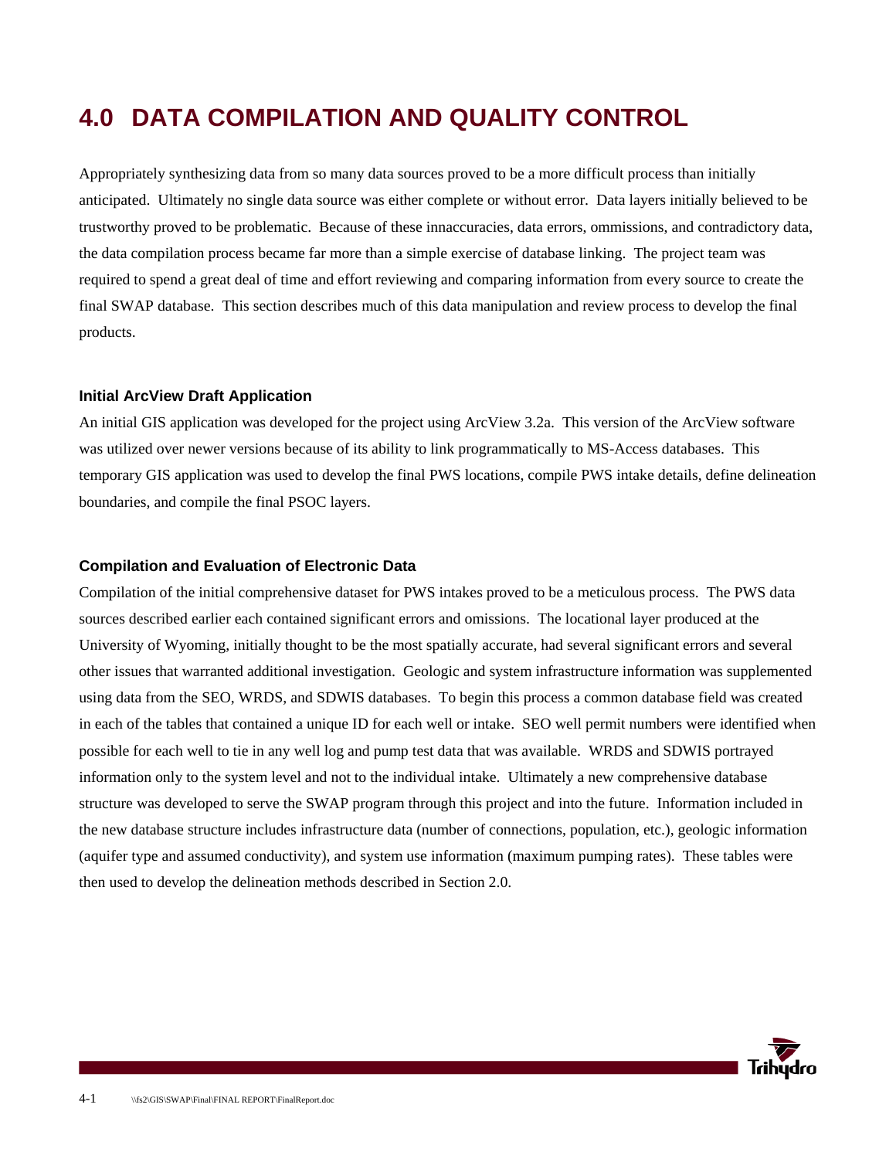## **4.0 DATA COMPILATION AND QUALITY CONTROL**

Appropriately synthesizing data from so many data sources proved to be a more difficult process than initially anticipated. Ultimately no single data source was either complete or without error. Data layers initially believed to be trustworthy proved to be problematic. Because of these innaccuracies, data errors, ommissions, and contradictory data, the data compilation process became far more than a simple exercise of database linking. The project team was required to spend a great deal of time and effort reviewing and comparing information from every source to create the final SWAP database. This section describes much of this data manipulation and review process to develop the final products.

#### **Initial ArcView Draft Application**

An initial GIS application was developed for the project using ArcView 3.2a. This version of the ArcView software was utilized over newer versions because of its ability to link programmatically to MS-Access databases. This temporary GIS application was used to develop the final PWS locations, compile PWS intake details, define delineation boundaries, and compile the final PSOC layers.

#### **Compilation and Evaluation of Electronic Data**

Compilation of the initial comprehensive dataset for PWS intakes proved to be a meticulous process. The PWS data sources described earlier each contained significant errors and omissions. The locational layer produced at the University of Wyoming, initially thought to be the most spatially accurate, had several significant errors and several other issues that warranted additional investigation. Geologic and system infrastructure information was supplemented using data from the SEO, WRDS, and SDWIS databases. To begin this process a common database field was created in each of the tables that contained a unique ID for each well or intake. SEO well permit numbers were identified when possible for each well to tie in any well log and pump test data that was available. WRDS and SDWIS portrayed information only to the system level and not to the individual intake. Ultimately a new comprehensive database structure was developed to serve the SWAP program through this project and into the future. Information included in the new database structure includes infrastructure data (number of connections, population, etc.), geologic information (aquifer type and assumed conductivity), and system use information (maximum pumping rates). These tables were then used to develop the delineation methods described in Section 2.0.

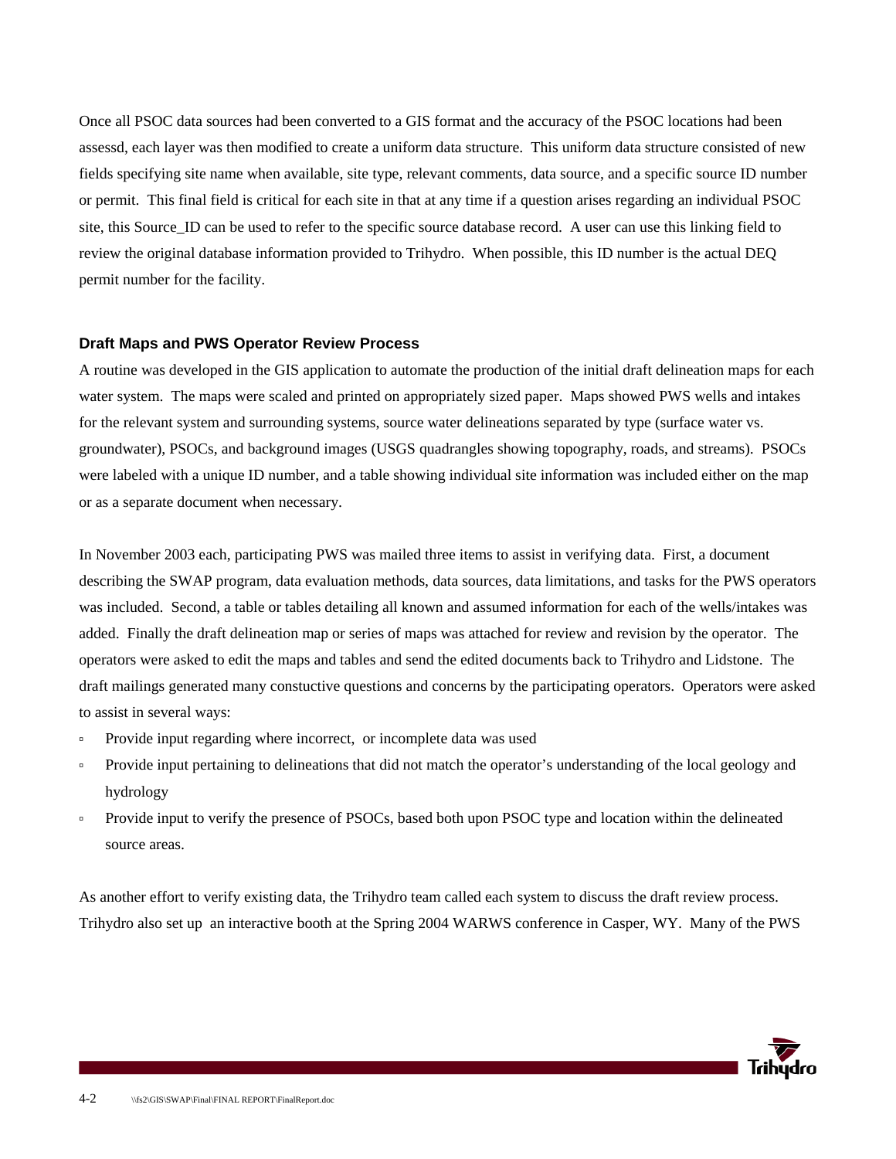Once all PSOC data sources had been converted to a GIS format and the accuracy of the PSOC locations had been assessd, each layer was then modified to create a uniform data structure. This uniform data structure consisted of new fields specifying site name when available, site type, relevant comments, data source, and a specific source ID number or permit. This final field is critical for each site in that at any time if a question arises regarding an individual PSOC site, this Source ID can be used to refer to the specific source database record. A user can use this linking field to review the original database information provided to Trihydro. When possible, this ID number is the actual DEQ permit number for the facility.

#### **Draft Maps and PWS Operator Review Process**

A routine was developed in the GIS application to automate the production of the initial draft delineation maps for each water system. The maps were scaled and printed on appropriately sized paper. Maps showed PWS wells and intakes for the relevant system and surrounding systems, source water delineations separated by type (surface water vs. groundwater), PSOCs, and background images (USGS quadrangles showing topography, roads, and streams). PSOCs were labeled with a unique ID number, and a table showing individual site information was included either on the map or as a separate document when necessary.

In November 2003 each, participating PWS was mailed three items to assist in verifying data. First, a document describing the SWAP program, data evaluation methods, data sources, data limitations, and tasks for the PWS operators was included. Second, a table or tables detailing all known and assumed information for each of the wells/intakes was added. Finally the draft delineation map or series of maps was attached for review and revision by the operator. The operators were asked to edit the maps and tables and send the edited documents back to Trihydro and Lidstone. The draft mailings generated many constuctive questions and concerns by the participating operators. Operators were asked to assist in several ways:

- à Provide input regarding where incorrect, or incomplete data was used
- Provide input pertaining to delineations that did not match the operator's understanding of the local geology and hydrology
- Provide input to verify the presence of PSOCs, based both upon PSOC type and location within the delineated source areas.

As another effort to verify existing data, the Trihydro team called each system to discuss the draft review process. Trihydro also set up an interactive booth at the Spring 2004 WARWS conference in Casper, WY. Many of the PWS

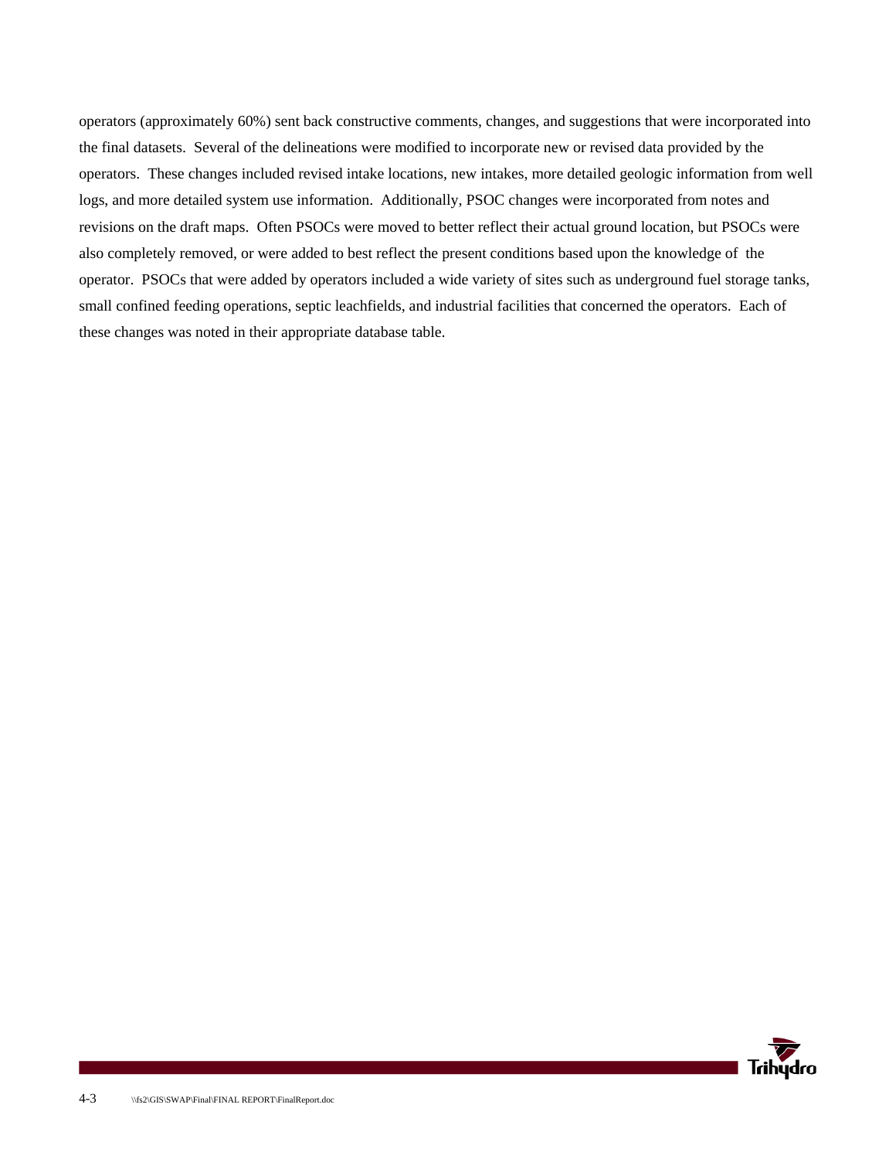operators (approximately 60%) sent back constructive comments, changes, and suggestions that were incorporated into the final datasets. Several of the delineations were modified to incorporate new or revised data provided by the operators. These changes included revised intake locations, new intakes, more detailed geologic information from well logs, and more detailed system use information. Additionally, PSOC changes were incorporated from notes and revisions on the draft maps. Often PSOCs were moved to better reflect their actual ground location, but PSOCs were also completely removed, or were added to best reflect the present conditions based upon the knowledge of the operator. PSOCs that were added by operators included a wide variety of sites such as underground fuel storage tanks, small confined feeding operations, septic leachfields, and industrial facilities that concerned the operators. Each of these changes was noted in their appropriate database table.

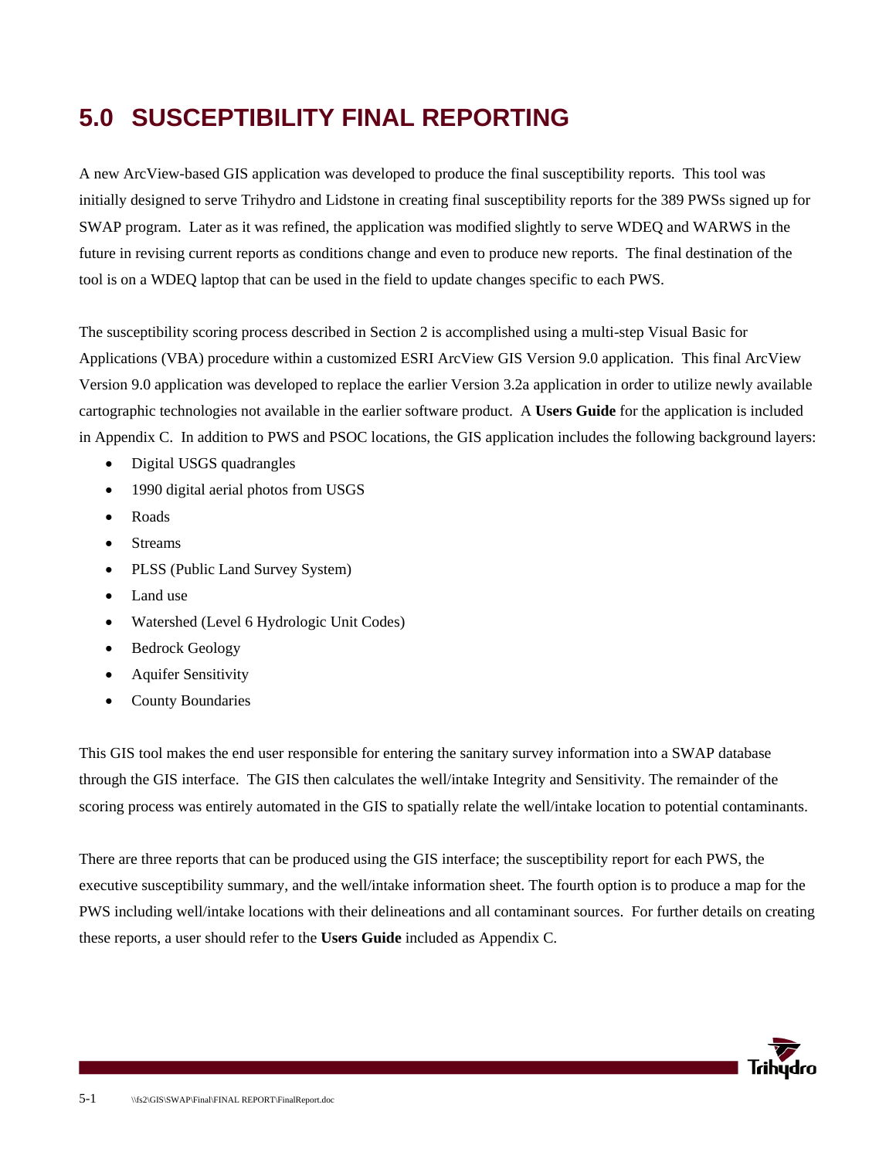## **5.0 SUSCEPTIBILITY FINAL REPORTING**

A new ArcView-based GIS application was developed to produce the final susceptibility reports. This tool was initially designed to serve Trihydro and Lidstone in creating final susceptibility reports for the 389 PWSs signed up for SWAP program. Later as it was refined, the application was modified slightly to serve WDEQ and WARWS in the future in revising current reports as conditions change and even to produce new reports. The final destination of the tool is on a WDEQ laptop that can be used in the field to update changes specific to each PWS.

The susceptibility scoring process described in Section 2 is accomplished using a multi-step Visual Basic for Applications (VBA) procedure within a customized ESRI ArcView GIS Version 9.0 application. This final ArcView Version 9.0 application was developed to replace the earlier Version 3.2a application in order to utilize newly available cartographic technologies not available in the earlier software product. A **Users Guide** for the application is included in Appendix C. In addition to PWS and PSOC locations, the GIS application includes the following background layers:

- Digital USGS quadrangles
- 1990 digital aerial photos from USGS
- Roads
- **Streams**
- PLSS (Public Land Survey System)
- Land use
- Watershed (Level 6 Hydrologic Unit Codes)
- Bedrock Geology
- Aquifer Sensitivity
- County Boundaries

This GIS tool makes the end user responsible for entering the sanitary survey information into a SWAP database through the GIS interface. The GIS then calculates the well/intake Integrity and Sensitivity. The remainder of the scoring process was entirely automated in the GIS to spatially relate the well/intake location to potential contaminants.

There are three reports that can be produced using the GIS interface; the susceptibility report for each PWS, the executive susceptibility summary, and the well/intake information sheet. The fourth option is to produce a map for the PWS including well/intake locations with their delineations and all contaminant sources. For further details on creating these reports, a user should refer to the **Users Guide** included as Appendix C.

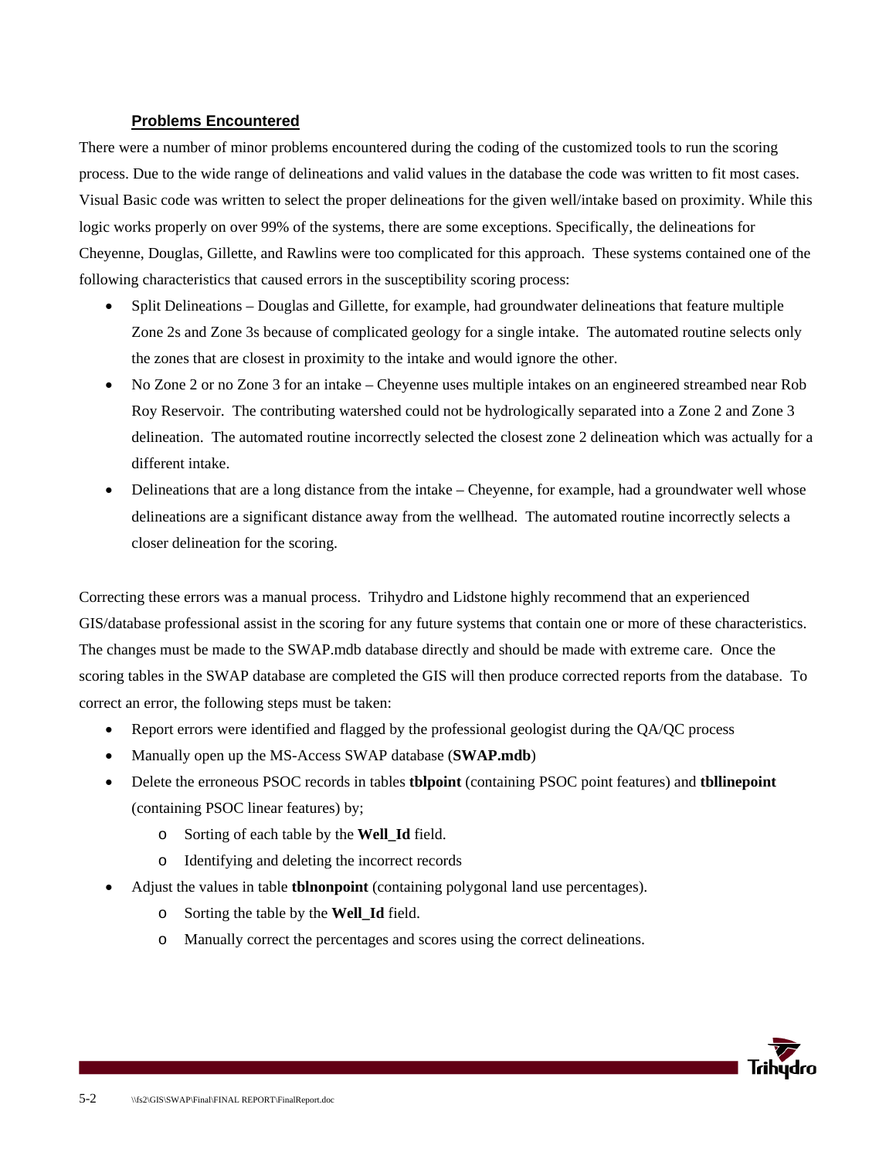#### **Problems Encountered**

There were a number of minor problems encountered during the coding of the customized tools to run the scoring process. Due to the wide range of delineations and valid values in the database the code was written to fit most cases. Visual Basic code was written to select the proper delineations for the given well/intake based on proximity. While this logic works properly on over 99% of the systems, there are some exceptions. Specifically, the delineations for Cheyenne, Douglas, Gillette, and Rawlins were too complicated for this approach. These systems contained one of the following characteristics that caused errors in the susceptibility scoring process:

- Split Delineations Douglas and Gillette, for example, had groundwater delineations that feature multiple Zone 2s and Zone 3s because of complicated geology for a single intake. The automated routine selects only the zones that are closest in proximity to the intake and would ignore the other.
- No Zone 2 or no Zone 3 for an intake Cheyenne uses multiple intakes on an engineered streambed near Rob Roy Reservoir. The contributing watershed could not be hydrologically separated into a Zone 2 and Zone 3 delineation. The automated routine incorrectly selected the closest zone 2 delineation which was actually for a different intake.
- Delineations that are a long distance from the intake Cheyenne, for example, had a groundwater well whose delineations are a significant distance away from the wellhead. The automated routine incorrectly selects a closer delineation for the scoring.

Correcting these errors was a manual process. Trihydro and Lidstone highly recommend that an experienced GIS/database professional assist in the scoring for any future systems that contain one or more of these characteristics. The changes must be made to the SWAP.mdb database directly and should be made with extreme care. Once the scoring tables in the SWAP database are completed the GIS will then produce corrected reports from the database. To correct an error, the following steps must be taken:

- Report errors were identified and flagged by the professional geologist during the QA/QC process
- Manually open up the MS-Access SWAP database (**SWAP.mdb**)
- Delete the erroneous PSOC records in tables **tblpoint** (containing PSOC point features) and **tbllinepoint**  (containing PSOC linear features) by;
	- o Sorting of each table by the **Well\_Id** field.
	- o Identifying and deleting the incorrect records
- Adjust the values in table **tblnonpoint** (containing polygonal land use percentages).
	- o Sorting the table by the **Well\_Id** field.
	- o Manually correct the percentages and scores using the correct delineations.

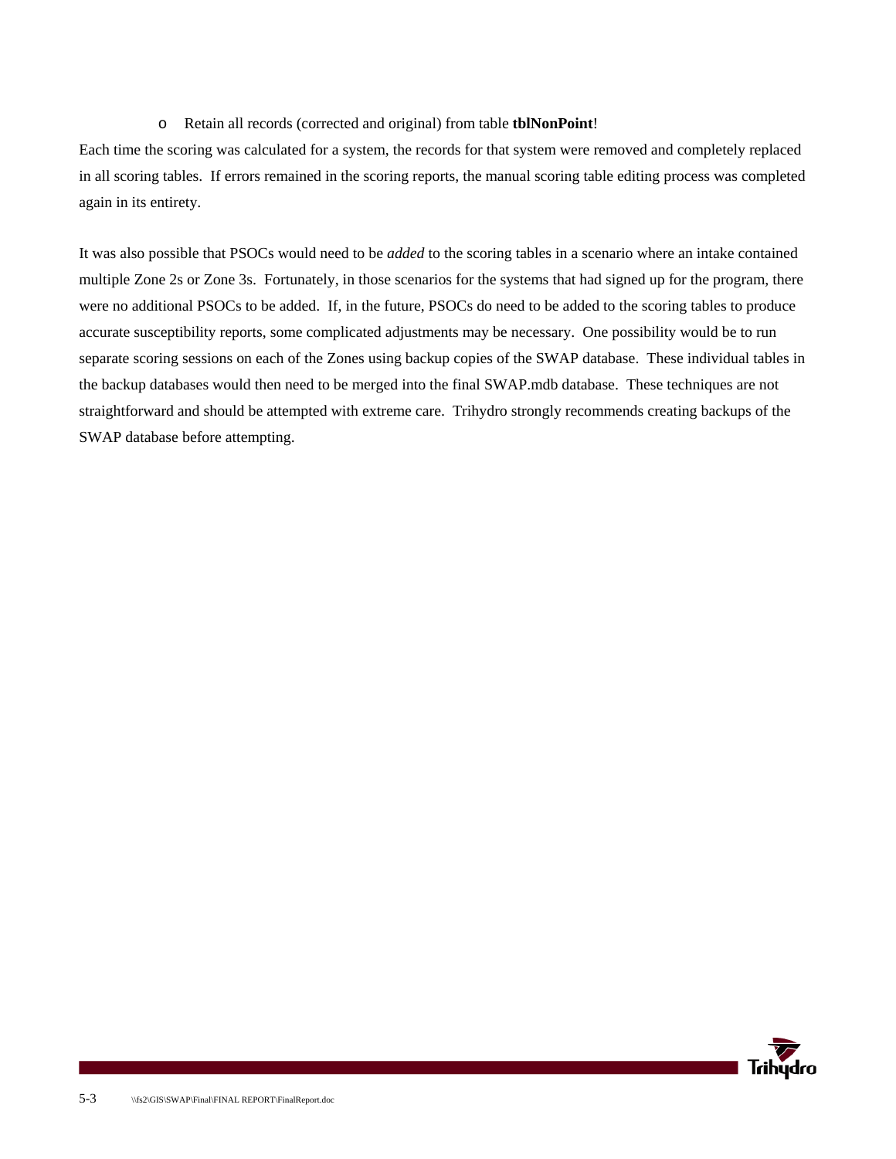#### o Retain all records (corrected and original) from table **tblNonPoint**!

Each time the scoring was calculated for a system, the records for that system were removed and completely replaced in all scoring tables. If errors remained in the scoring reports, the manual scoring table editing process was completed again in its entirety.

It was also possible that PSOCs would need to be *added* to the scoring tables in a scenario where an intake contained multiple Zone 2s or Zone 3s. Fortunately, in those scenarios for the systems that had signed up for the program, there were no additional PSOCs to be added. If, in the future, PSOCs do need to be added to the scoring tables to produce accurate susceptibility reports, some complicated adjustments may be necessary. One possibility would be to run separate scoring sessions on each of the Zones using backup copies of the SWAP database. These individual tables in the backup databases would then need to be merged into the final SWAP.mdb database. These techniques are not straightforward and should be attempted with extreme care. Trihydro strongly recommends creating backups of the SWAP database before attempting.

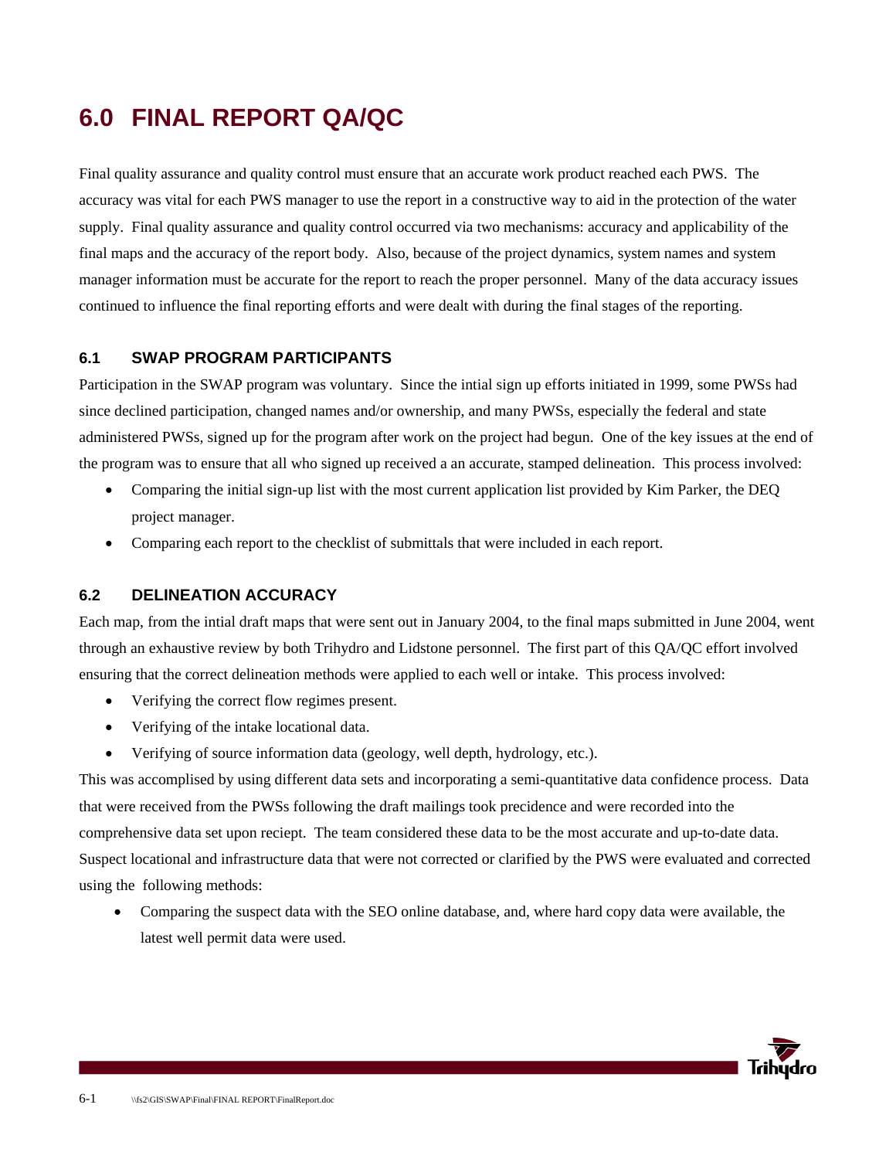## **6.0 FINAL REPORT QA/QC**

Final quality assurance and quality control must ensure that an accurate work product reached each PWS. The accuracy was vital for each PWS manager to use the report in a constructive way to aid in the protection of the water supply. Final quality assurance and quality control occurred via two mechanisms: accuracy and applicability of the final maps and the accuracy of the report body. Also, because of the project dynamics, system names and system manager information must be accurate for the report to reach the proper personnel. Many of the data accuracy issues continued to influence the final reporting efforts and were dealt with during the final stages of the reporting.

### **6.1 SWAP PROGRAM PARTICIPANTS**

Participation in the SWAP program was voluntary. Since the intial sign up efforts initiated in 1999, some PWSs had since declined participation, changed names and/or ownership, and many PWSs, especially the federal and state administered PWSs, signed up for the program after work on the project had begun. One of the key issues at the end of the program was to ensure that all who signed up received a an accurate, stamped delineation. This process involved:

- Comparing the initial sign-up list with the most current application list provided by Kim Parker, the DEQ project manager.
- Comparing each report to the checklist of submittals that were included in each report.

### **6.2 DELINEATION ACCURACY**

Each map, from the intial draft maps that were sent out in January 2004, to the final maps submitted in June 2004, went through an exhaustive review by both Trihydro and Lidstone personnel. The first part of this QA/QC effort involved ensuring that the correct delineation methods were applied to each well or intake. This process involved:

- Verifying the correct flow regimes present.
- Verifying of the intake locational data.
- Verifying of source information data (geology, well depth, hydrology, etc.).

This was accomplised by using different data sets and incorporating a semi-quantitative data confidence process. Data that were received from the PWSs following the draft mailings took precidence and were recorded into the comprehensive data set upon reciept. The team considered these data to be the most accurate and up-to-date data. Suspect locational and infrastructure data that were not corrected or clarified by the PWS were evaluated and corrected using the following methods:

• Comparing the suspect data with the SEO online database, and, where hard copy data were available, the latest well permit data were used.

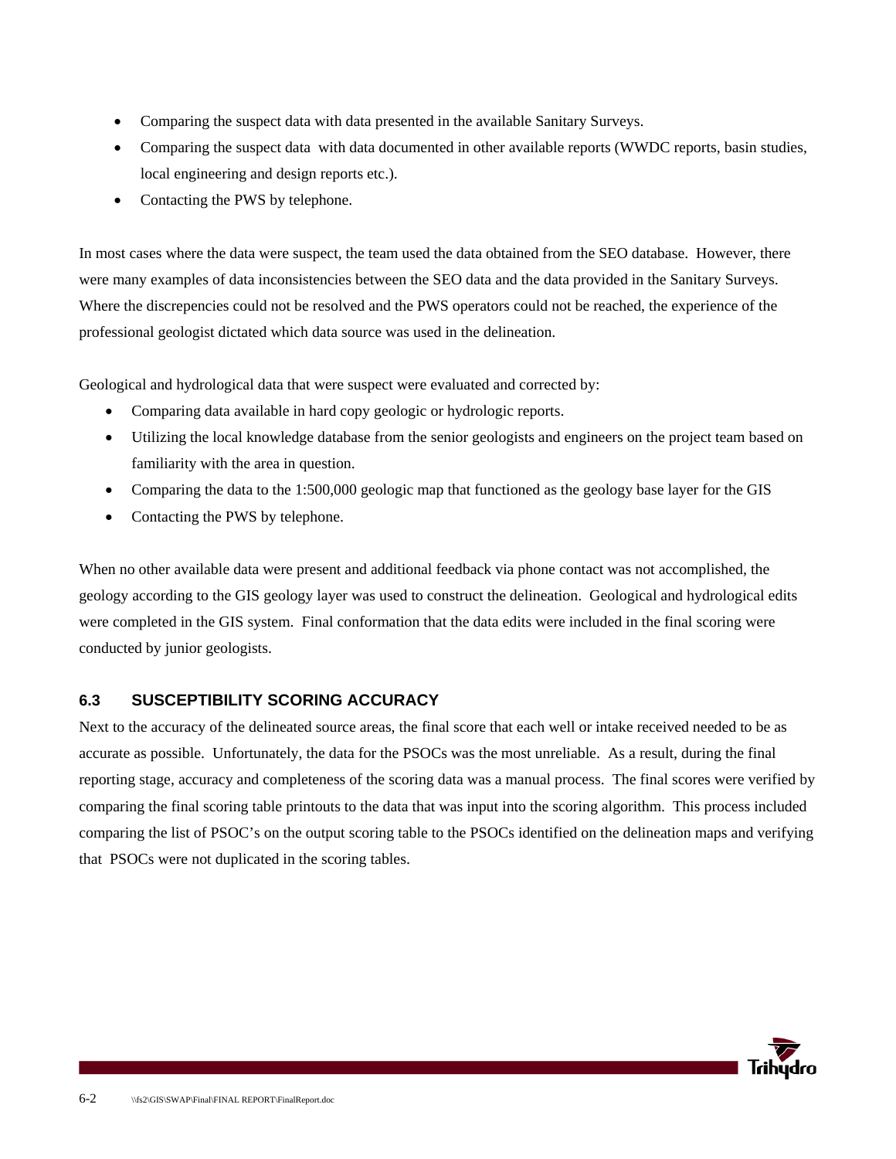- Comparing the suspect data with data presented in the available Sanitary Surveys.
- Comparing the suspect data with data documented in other available reports (WWDC reports, basin studies, local engineering and design reports etc.).
- Contacting the PWS by telephone.

In most cases where the data were suspect, the team used the data obtained from the SEO database. However, there were many examples of data inconsistencies between the SEO data and the data provided in the Sanitary Surveys. Where the discrepencies could not be resolved and the PWS operators could not be reached, the experience of the professional geologist dictated which data source was used in the delineation.

Geological and hydrological data that were suspect were evaluated and corrected by:

- Comparing data available in hard copy geologic or hydrologic reports.
- Utilizing the local knowledge database from the senior geologists and engineers on the project team based on familiarity with the area in question.
- Comparing the data to the 1:500,000 geologic map that functioned as the geology base layer for the GIS
- Contacting the PWS by telephone.

When no other available data were present and additional feedback via phone contact was not accomplished, the geology according to the GIS geology layer was used to construct the delineation. Geological and hydrological edits were completed in the GIS system. Final conformation that the data edits were included in the final scoring were conducted by junior geologists.

### **6.3 SUSCEPTIBILITY SCORING ACCURACY**

Next to the accuracy of the delineated source areas, the final score that each well or intake received needed to be as accurate as possible. Unfortunately, the data for the PSOCs was the most unreliable. As a result, during the final reporting stage, accuracy and completeness of the scoring data was a manual process. The final scores were verified by comparing the final scoring table printouts to the data that was input into the scoring algorithm. This process included comparing the list of PSOC's on the output scoring table to the PSOCs identified on the delineation maps and verifying that PSOCs were not duplicated in the scoring tables.

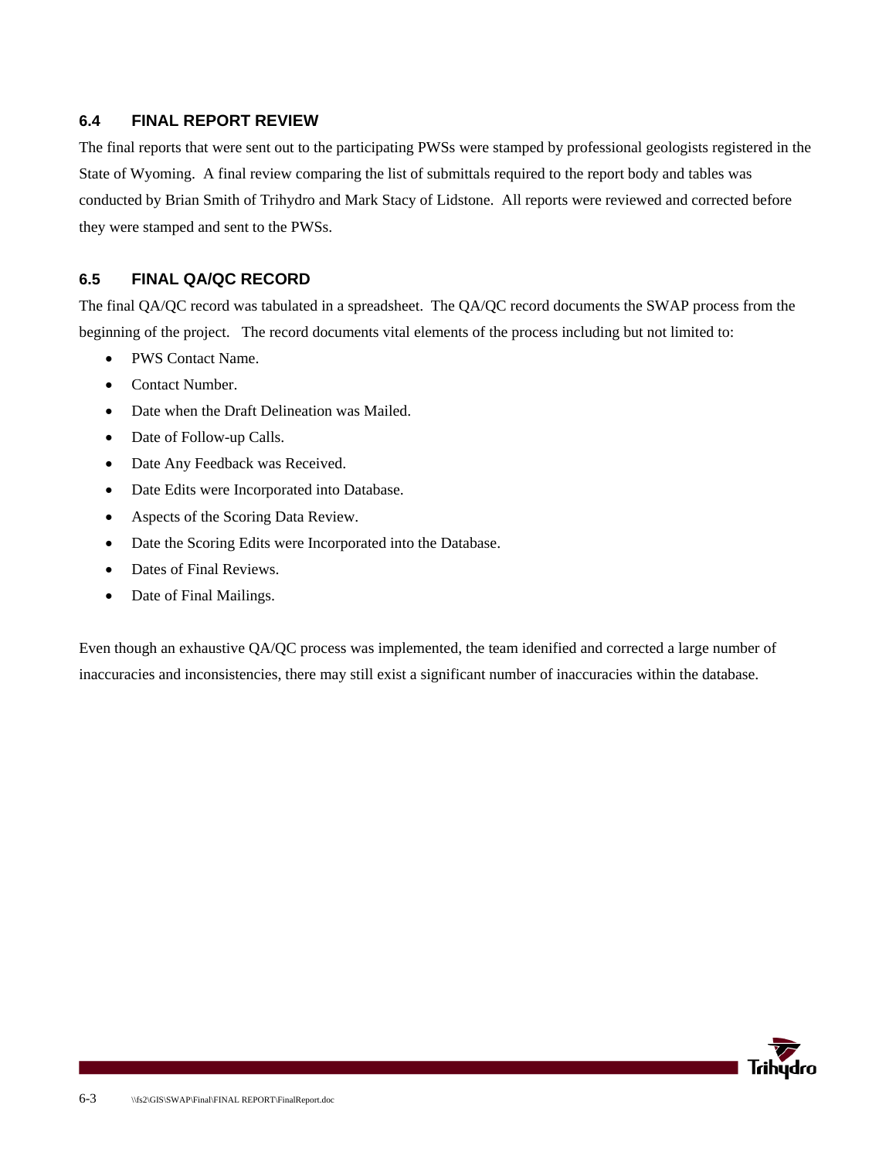#### **6.4 FINAL REPORT REVIEW**

The final reports that were sent out to the participating PWSs were stamped by professional geologists registered in the State of Wyoming. A final review comparing the list of submittals required to the report body and tables was conducted by Brian Smith of Trihydro and Mark Stacy of Lidstone. All reports were reviewed and corrected before they were stamped and sent to the PWSs.

### **6.5 FINAL QA/QC RECORD**

The final QA/QC record was tabulated in a spreadsheet. The QA/QC record documents the SWAP process from the beginning of the project. The record documents vital elements of the process including but not limited to:

- PWS Contact Name.
- Contact Number.
- Date when the Draft Delineation was Mailed.
- Date of Follow-up Calls.
- Date Any Feedback was Received.
- Date Edits were Incorporated into Database.
- Aspects of the Scoring Data Review.
- Date the Scoring Edits were Incorporated into the Database.
- Dates of Final Reviews.
- Date of Final Mailings.

Even though an exhaustive QA/QC process was implemented, the team idenified and corrected a large number of inaccuracies and inconsistencies, there may still exist a significant number of inaccuracies within the database.

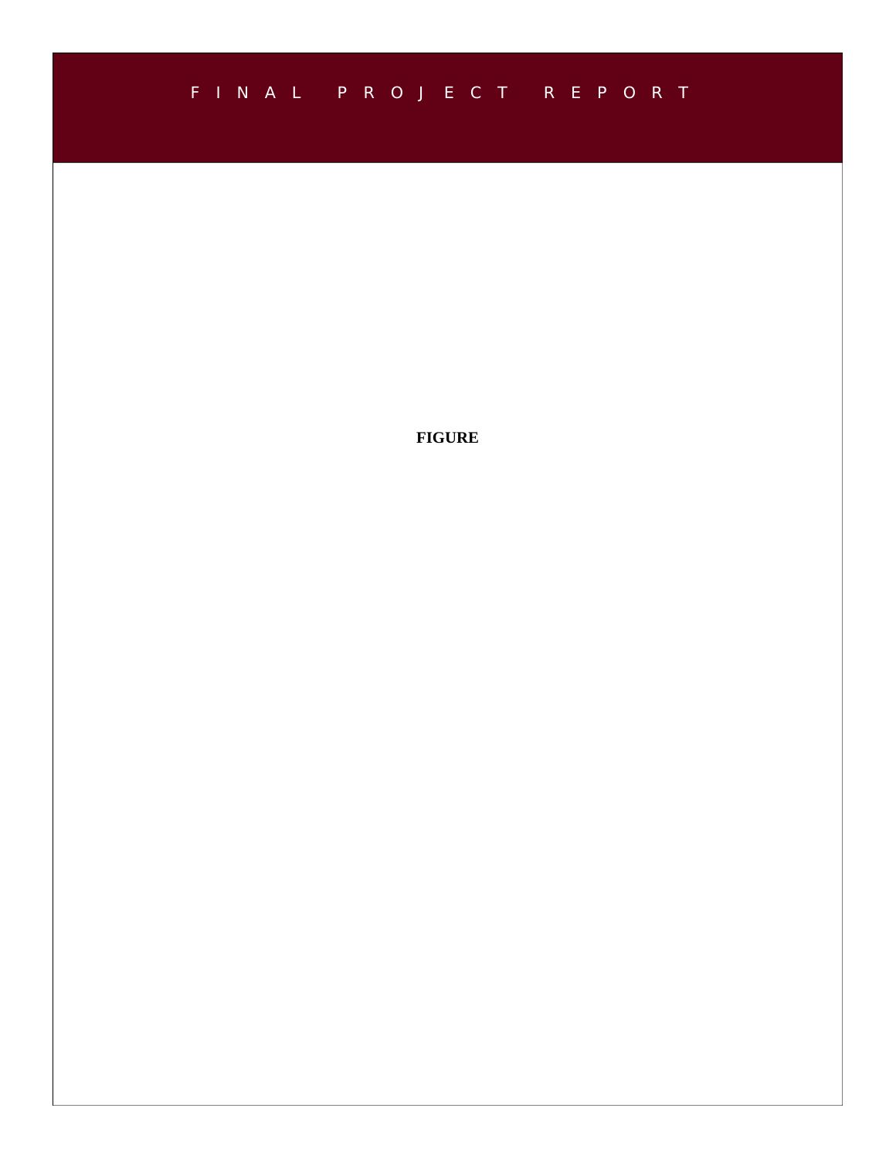## FINAL PROJECT REPORT

**FIGURE**